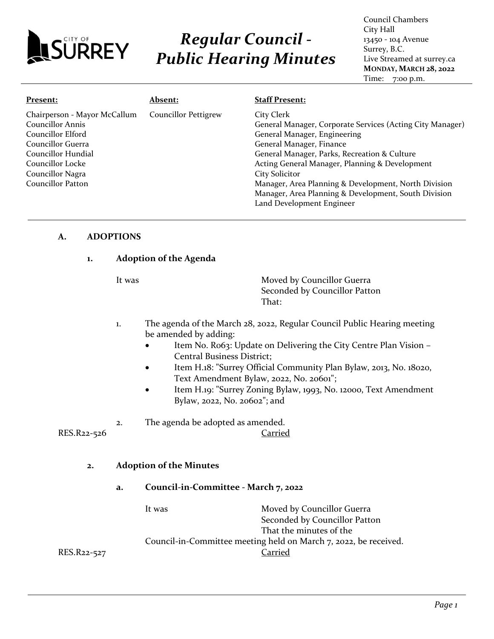

# *Regular Council - Public Hearing Minutes*

Council Chambers City Hall 13450 - 104 Avenue Surrey, B.C. Live Streamed at surrey.ca **MONDAY, MARCH 28, 2022** Time: 7:00 p.m.

| Present:                                                                                                                                                                             | <b>Absent:</b>              | <b>Staff Present:</b>                                                                                                                                                                                                                                                                                           |
|--------------------------------------------------------------------------------------------------------------------------------------------------------------------------------------|-----------------------------|-----------------------------------------------------------------------------------------------------------------------------------------------------------------------------------------------------------------------------------------------------------------------------------------------------------------|
| Chairperson - Mayor McCallum<br><b>Councillor Annis</b><br>Councillor Elford<br>Councillor Guerra<br>Councillor Hundial<br>Councillor Locke<br>Councillor Nagra<br>Councillor Patton | <b>Councillor Pettigrew</b> | City Clerk<br>General Manager, Corporate Services (Acting City Manager)<br>General Manager, Engineering<br>General Manager, Finance<br>General Manager, Parks, Recreation & Culture<br>Acting General Manager, Planning & Development<br>City Solicitor<br>Manager, Area Planning & Development, North Division |
|                                                                                                                                                                                      |                             | Manager, Area Planning & Development, South Division                                                                                                                                                                                                                                                            |
|                                                                                                                                                                                      |                             | Land Development Engineer                                                                                                                                                                                                                                                                                       |

#### **A. ADOPTIONS**

#### **1. Adoption of the Agenda**

It was **Moved by Councillor Guerra** Seconded by Councillor Patton That:

- 1. The agenda of the March 28, 2022, Regular Council Public Hearing meeting be amended by adding:
	- Item No. Ro63: Update on Delivering the City Centre Plan Vision -Central Business District;
	- Item H.18: "Surrey Official Community Plan Bylaw, 2013, No. 18020, Text Amendment Bylaw, 2022, No. 20601";
	- Item H.19: "Surrey Zoning Bylaw, 1993, No. 12000, Text Amendment Bylaw, 2022, No. 20602"; and
- 2. The agenda be adopted as amended.

RES.R22-526 Carried

#### **2. Adoption of the Minutes**

**a. Council-in-Committee - March 7, 2022**

It was **Moved by Councillor Guerra** Seconded by Councillor Patton That the minutes of the Council-in-Committee meeting held on March 7, 2022, be received. RES.R22-527 Carried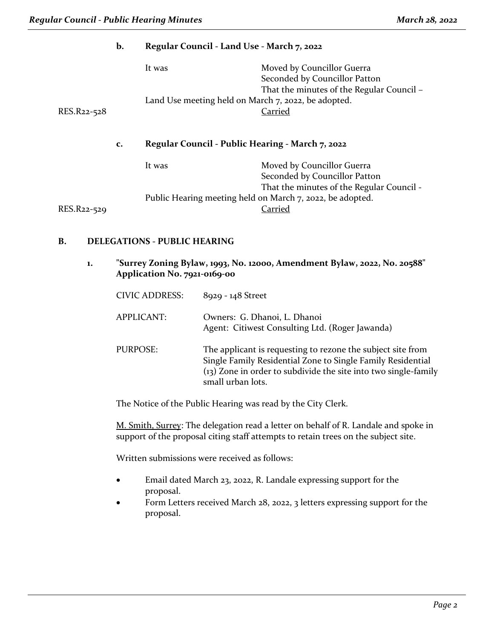|                                                                       | b. | Regular Council - Land Use - March 7, 2022                |                                                                                                          |
|-----------------------------------------------------------------------|----|-----------------------------------------------------------|----------------------------------------------------------------------------------------------------------|
|                                                                       |    | It was                                                    | Moved by Councillor Guerra<br>Seconded by Councillor Patton<br>That the minutes of the Regular Council - |
|                                                                       |    | Land Use meeting held on March 7, 2022, be adopted.       |                                                                                                          |
| RES.R22-528<br>Regular Council - Public Hearing - March 7, 2022<br>c. |    |                                                           | <b>Carried</b>                                                                                           |
|                                                                       |    |                                                           |                                                                                                          |
|                                                                       |    | It was                                                    | Moved by Councillor Guerra<br>Seconded by Councillor Patton                                              |
|                                                                       |    |                                                           | That the minutes of the Regular Council -                                                                |
|                                                                       |    | Public Hearing meeting held on March 7, 2022, be adopted. |                                                                                                          |
| RES.R22-529                                                           |    |                                                           | Carried                                                                                                  |
|                                                                       |    |                                                           |                                                                                                          |
|                                                                       |    |                                                           |                                                                                                          |

#### **B. DELEGATIONS - PUBLIC HEARING**

**1. "Surrey Zoning Bylaw, 1993, No. 12000, Amendment Bylaw, 2022, No. 20588" Application No. 7921-0169-00**

| <b>CIVIC ADDRESS:</b> | 8929 - 148 Street                                                                                                                                                                                                    |
|-----------------------|----------------------------------------------------------------------------------------------------------------------------------------------------------------------------------------------------------------------|
| APPLICANT:            | Owners: G. Dhanoi, L. Dhanoi<br>Agent: Citiwest Consulting Ltd. (Roger Jawanda)                                                                                                                                      |
| <b>PURPOSE:</b>       | The applicant is requesting to rezone the subject site from<br>Single Family Residential Zone to Single Family Residential<br>$(13)$ Zone in order to subdivide the site into two single-family<br>small urban lots. |

The Notice of the Public Hearing was read by the City Clerk.

M. Smith, Surrey: The delegation read a letter on behalf of R. Landale and spoke in support of the proposal citing staff attempts to retain trees on the subject site.

- Email dated March 23, 2022, R. Landale expressing support for the proposal.
- Form Letters received March 28, 2022, 3 letters expressing support for the proposal.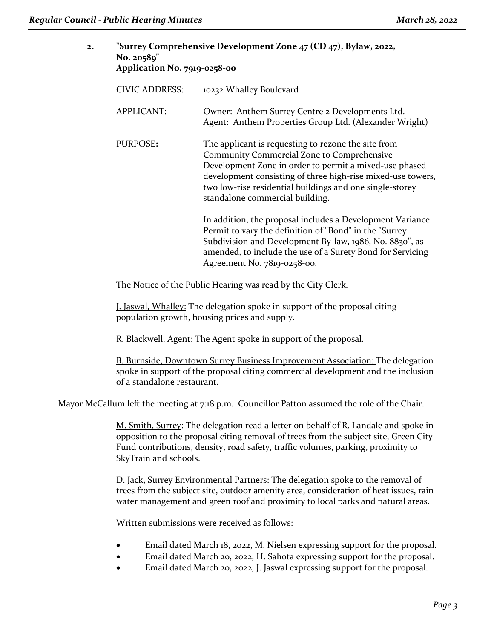| 2.                    | No. 20589"                                                   | 'Surrey Comprehensive Development Zone 47 (CD 47), Bylaw, 2022,<br>Application No. 7919-0258-00                                                                                                                                                                                                                           |  |
|-----------------------|--------------------------------------------------------------|---------------------------------------------------------------------------------------------------------------------------------------------------------------------------------------------------------------------------------------------------------------------------------------------------------------------------|--|
| <b>CIVIC ADDRESS:</b> |                                                              | 10232 Whalley Boulevard                                                                                                                                                                                                                                                                                                   |  |
|                       | <b>APPLICANT:</b>                                            | Owner: Anthem Surrey Centre 2 Developments Ltd.<br>Agent: Anthem Properties Group Ltd. (Alexander Wright)                                                                                                                                                                                                                 |  |
|                       | PURPOSE:                                                     | The applicant is requesting to rezone the site from<br>Community Commercial Zone to Comprehensive<br>Development Zone in order to permit a mixed-use phased<br>development consisting of three high-rise mixed-use towers,<br>two low-rise residential buildings and one single-storey<br>standalone commercial building. |  |
|                       |                                                              | In addition, the proposal includes a Development Variance<br>Permit to vary the definition of "Bond" in the "Surrey<br>Subdivision and Development By-law, 1986, No. 8830", as<br>amended, to include the use of a Surety Bond for Servicing<br>Agreement No. 7819-0258-00.                                               |  |
|                       | The Notice of the Public Hearing was read by the City Clerk. |                                                                                                                                                                                                                                                                                                                           |  |

J. Jaswal, Whalley: The delegation spoke in support of the proposal citing population growth, housing prices and supply.

R. Blackwell, Agent: The Agent spoke in support of the proposal.

B. Burnside, Downtown Surrey Business Improvement Association: The delegation spoke in support of the proposal citing commercial development and the inclusion of a standalone restaurant.

Mayor McCallum left the meeting at 7:18 p.m. Councillor Patton assumed the role of the Chair.

M. Smith, Surrey: The delegation read a letter on behalf of R. Landale and spoke in opposition to the proposal citing removal of trees from the subject site, Green City Fund contributions, density, road safety, traffic volumes, parking, proximity to SkyTrain and schools.

D. Jack, Surrey Environmental Partners: The delegation spoke to the removal of trees from the subject site, outdoor amenity area, consideration of heat issues, rain water management and green roof and proximity to local parks and natural areas.

- Email dated March 18, 2022, M. Nielsen expressing support for the proposal.
- Email dated March 20, 2022, H. Sahota expressing support for the proposal.
- Email dated March 20, 2022, J. Jaswal expressing support for the proposal.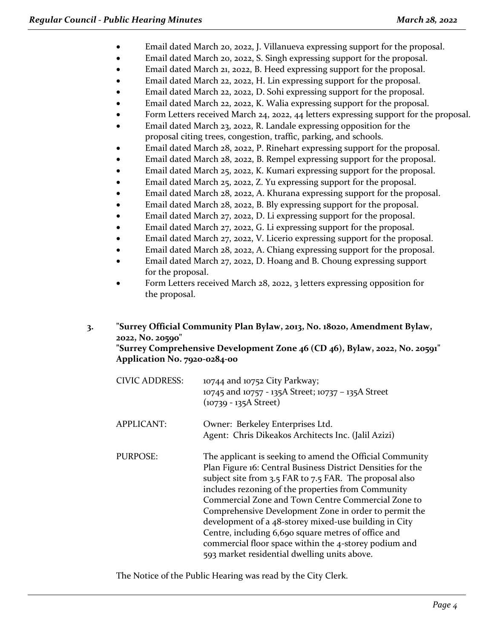- Email dated March 20, 2022, J. Villanueva expressing support for the proposal.
- Email dated March 20, 2022, S. Singh expressing support for the proposal.
- Email dated March 21, 2022, B. Heed expressing support for the proposal.
- Email dated March 22, 2022, H. Lin expressing support for the proposal.
- Email dated March 22, 2022, D. Sohi expressing support for the proposal.
- Email dated March 22, 2022, K. Walia expressing support for the proposal.
- Form Letters received March 24, 2022, 44 letters expressing support for the proposal.
- Email dated March 23, 2022, R. Landale expressing opposition for the proposal citing trees, congestion, traffic, parking, and schools.
- Email dated March 28, 2022, P. Rinehart expressing support for the proposal.
- Email dated March 28, 2022, B. Rempel expressing support for the proposal.
- Email dated March 25, 2022, K. Kumari expressing support for the proposal.
- Email dated March 25, 2022, Z. Yu expressing support for the proposal.
- Email dated March 28, 2022, A. Khurana expressing support for the proposal.
- Email dated March 28, 2022, B. Bly expressing support for the proposal.
- Email dated March 27, 2022, D. Li expressing support for the proposal.
- Email dated March 27, 2022, G. Li expressing support for the proposal.
- Email dated March 27, 2022, V. Licerio expressing support for the proposal.
- Email dated March 28, 2022, A. Chiang expressing support for the proposal.
- Email dated March 27, 2022, D. Hoang and B. Choung expressing support for the proposal.
- Form Letters received March 28, 2022, 3 letters expressing opposition for the proposal.

# **3. "Surrey Official Community Plan Bylaw, 2013, No. 18020, Amendment Bylaw, 2022, No. 20590"**

**"Surrey Comprehensive Development Zone 46 (CD 46), Bylaw, 2022, No. 20591" Application No. 7920-0284-00**

| <b>CIVIC ADDRESS:</b> | 10744 and 10752 City Parkway;<br>10745 and 10757 - 135A Street; 10737 - 135A Street<br>$(10739 - 135A$ Street)                                                                                                                                                                                                                                                                                                                                                                                                                                                                   |
|-----------------------|----------------------------------------------------------------------------------------------------------------------------------------------------------------------------------------------------------------------------------------------------------------------------------------------------------------------------------------------------------------------------------------------------------------------------------------------------------------------------------------------------------------------------------------------------------------------------------|
| <b>APPLICANT:</b>     | Owner: Berkeley Enterprises Ltd.<br>Agent: Chris Dikeakos Architects Inc. (Jalil Azizi)                                                                                                                                                                                                                                                                                                                                                                                                                                                                                          |
| <b>PURPOSE:</b>       | The applicant is seeking to amend the Official Community<br>Plan Figure 16: Central Business District Densities for the<br>subject site from 3.5 FAR to 7.5 FAR. The proposal also<br>includes rezoning of the properties from Community<br>Commercial Zone and Town Centre Commercial Zone to<br>Comprehensive Development Zone in order to permit the<br>development of a 48-storey mixed-use building in City<br>Centre, including 6,690 square metres of office and<br>commercial floor space within the 4-storey podium and<br>593 market residential dwelling units above. |

The Notice of the Public Hearing was read by the City Clerk.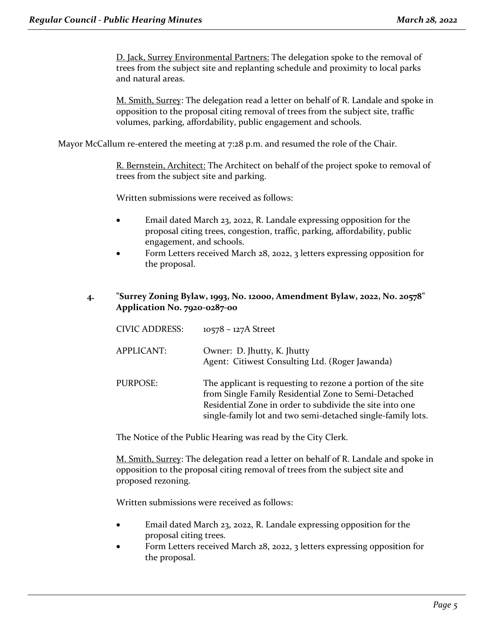D. Jack, Surrey Environmental Partners: The delegation spoke to the removal of trees from the subject site and replanting schedule and proximity to local parks and natural areas.

M. Smith, Surrey: The delegation read a letter on behalf of R. Landale and spoke in opposition to the proposal citing removal of trees from the subject site, traffic volumes, parking, affordability, public engagement and schools.

Mayor McCallum re-entered the meeting at 7:28 p.m. and resumed the role of the Chair.

R. Bernstein, Architect: The Architect on behalf of the project spoke to removal of trees from the subject site and parking.

Written submissions were received as follows:

- Email dated March 23, 2022, R. Landale expressing opposition for the proposal citing trees, congestion, traffic, parking, affordability, public engagement, and schools.
- Form Letters received March 28, 2022, 3 letters expressing opposition for the proposal.
- **4. "Surrey Zoning Bylaw, 1993, No. 12000, Amendment Bylaw, 2022, No. 20578" Application No. 7920-0287-00**

| <b>CIVIC ADDRESS:</b> | $10578 - 127A$ Street                                                                                                                                                                                                                          |
|-----------------------|------------------------------------------------------------------------------------------------------------------------------------------------------------------------------------------------------------------------------------------------|
| <b>APPLICANT:</b>     | Owner: D. Jhutty, K. Jhutty<br>Agent: Citiwest Consulting Ltd. (Roger Jawanda)                                                                                                                                                                 |
| PURPOSE:              | The applicant is requesting to rezone a portion of the site<br>from Single Family Residential Zone to Semi-Detached<br>Residential Zone in order to subdivide the site into one<br>single-family lot and two semi-detached single-family lots. |

The Notice of the Public Hearing was read by the City Clerk.

M. Smith, Surrey: The delegation read a letter on behalf of R. Landale and spoke in opposition to the proposal citing removal of trees from the subject site and proposed rezoning.

- Email dated March 23, 2022, R. Landale expressing opposition for the proposal citing trees.
- Form Letters received March 28, 2022, 3 letters expressing opposition for the proposal.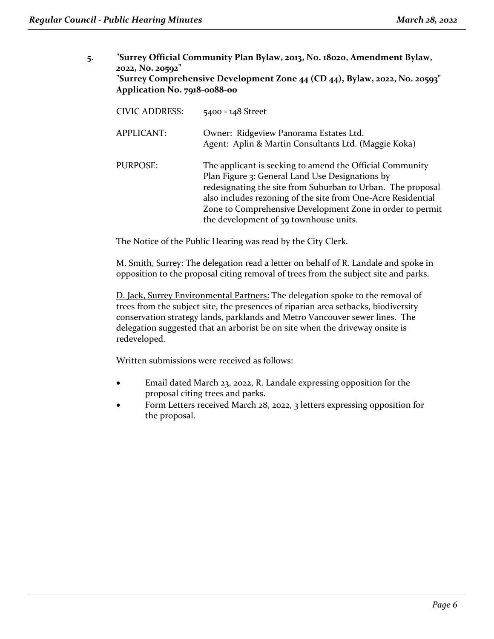**5. "Surrey Official Community Plan Bylaw, 2013, No. 18020, Amendment Bylaw, 2022, No. 20592" "Surrey Comprehensive Development Zone 44 (CD 44), Bylaw, 2022, No. 20593" Application No. 7918-0088-00**

| <b>CIVIC ADDRESS:</b> | 5400 - 148 Street                                                                                                                                                                                                                                                                                                                                 |
|-----------------------|---------------------------------------------------------------------------------------------------------------------------------------------------------------------------------------------------------------------------------------------------------------------------------------------------------------------------------------------------|
| APPLICANT:            | Owner: Ridgeview Panorama Estates Ltd.<br>Agent: Aplin & Martin Consultants Ltd. (Maggie Koka)                                                                                                                                                                                                                                                    |
| PURPOSE:              | The applicant is seeking to amend the Official Community<br>Plan Figure 3: General Land Use Designations by<br>redesignating the site from Suburban to Urban. The proposal<br>also includes rezoning of the site from One-Acre Residential<br>Zone to Comprehensive Development Zone in order to permit<br>the development of 39 townhouse units. |

The Notice of the Public Hearing was read by the City Clerk.

M. Smith, Surrey: The delegation read a letter on behalf of R. Landale and spoke in opposition to the proposal citing removal of trees from the subject site and parks.

D. Jack, Surrey Environmental Partners: The delegation spoke to the removal of trees from the subject site, the presences of riparian area setbacks, biodiversity conservation strategy lands, parklands and Metro Vancouver sewer lines. The delegation suggested that an arborist be on site when the driveway onsite is redeveloped.

- Email dated March 23, 2022, R. Landale expressing opposition for the proposal citing trees and parks.
- Form Letters received March 28, 2022, 3 letters expressing opposition for the proposal.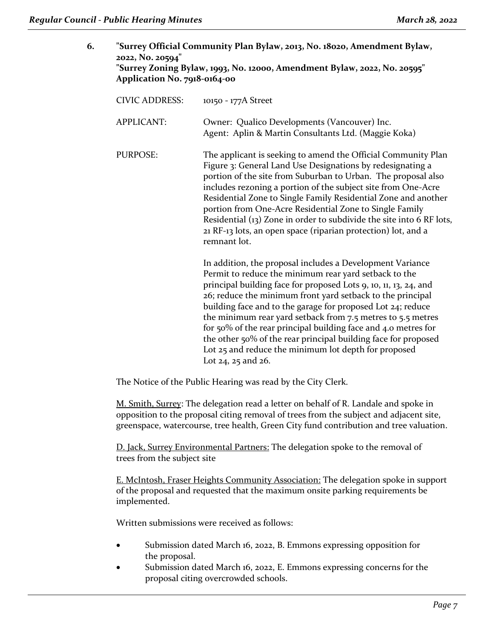| 6. | 2022, No. 20594"      | "Surrey Official Community Plan Bylaw, 2013, No. 18020, Amendment Bylaw,<br>"Surrey Zoning Bylaw, 1993, No. 12000, Amendment Bylaw, 2022, No. 20595"<br>Application No. 7918-0164-00                                                                                                                                                                                                                                                                                                                                                                                                                    |  |
|----|-----------------------|---------------------------------------------------------------------------------------------------------------------------------------------------------------------------------------------------------------------------------------------------------------------------------------------------------------------------------------------------------------------------------------------------------------------------------------------------------------------------------------------------------------------------------------------------------------------------------------------------------|--|
|    | <b>CIVIC ADDRESS:</b> | 10150 - 177A Street                                                                                                                                                                                                                                                                                                                                                                                                                                                                                                                                                                                     |  |
|    | <b>APPLICANT:</b>     | Owner: Qualico Developments (Vancouver) Inc.<br>Agent: Aplin & Martin Consultants Ltd. (Maggie Koka)                                                                                                                                                                                                                                                                                                                                                                                                                                                                                                    |  |
|    | <b>PURPOSE:</b>       | The applicant is seeking to amend the Official Community Plan<br>Figure 3: General Land Use Designations by redesignating a<br>portion of the site from Suburban to Urban. The proposal also<br>includes rezoning a portion of the subject site from One-Acre<br>Residential Zone to Single Family Residential Zone and another<br>portion from One-Acre Residential Zone to Single Family<br>Residential (13) Zone in order to subdivide the site into 6 RF lots,<br>21 RF-13 lots, an open space (riparian protection) lot, and a<br>remnant lot.                                                     |  |
|    |                       | In addition, the proposal includes a Development Variance<br>Permit to reduce the minimum rear yard setback to the<br>principal building face for proposed Lots 9, 10, 11, 13, 24, and<br>26; reduce the minimum front yard setback to the principal<br>building face and to the garage for proposed Lot 24; reduce<br>the minimum rear yard setback from 7.5 metres to 5.5 metres<br>for 50% of the rear principal building face and 4.0 metres for<br>the other 50% of the rear principal building face for proposed<br>Lot 25 and reduce the minimum lot depth for proposed<br>Lot 24, 25 and $26$ . |  |

The Notice of the Public Hearing was read by the City Clerk.

M. Smith, Surrey: The delegation read a letter on behalf of R. Landale and spoke in opposition to the proposal citing removal of trees from the subject and adjacent site, greenspace, watercourse, tree health, Green City fund contribution and tree valuation.

D. Jack, Surrey Environmental Partners: The delegation spoke to the removal of trees from the subject site

E. McIntosh, Fraser Heights Community Association: The delegation spoke in support of the proposal and requested that the maximum onsite parking requirements be implemented.

- Submission dated March 16, 2022, B. Emmons expressing opposition for the proposal.
- Submission dated March 16, 2022, E. Emmons expressing concerns for the proposal citing overcrowded schools.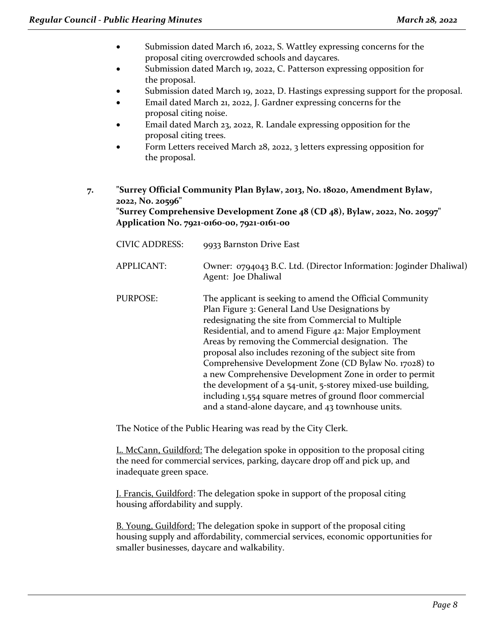- Submission dated March 16, 2022, S. Wattley expressing concerns for the proposal citing overcrowded schools and daycares.
- Submission dated March 19, 2022, C. Patterson expressing opposition for the proposal.
- Submission dated March 19, 2022, D. Hastings expressing support for the proposal.
- Email dated March 21, 2022, J. Gardner expressing concerns for the proposal citing noise.
- Email dated March 23, 2022, R. Landale expressing opposition for the proposal citing trees.
- Form Letters received March 28, 2022, 3 letters expressing opposition for the proposal.
- **7. "Surrey Official Community Plan Bylaw, 2013, No. 18020, Amendment Bylaw, 2022, No. 20596" "Surrey Comprehensive Development Zone 48 (CD 48), Bylaw, 2022, No. 20597" Application No. 7921-0160-00, 7921-0161-00**

| <b>CIVIC ADDRESS:</b> | 9933 Barnston Drive East                                                                                                                                                                                                                                                                                                                                                                                                                                                                                                                                                                                                                         |
|-----------------------|--------------------------------------------------------------------------------------------------------------------------------------------------------------------------------------------------------------------------------------------------------------------------------------------------------------------------------------------------------------------------------------------------------------------------------------------------------------------------------------------------------------------------------------------------------------------------------------------------------------------------------------------------|
| APPLICANT:            | Owner: 0794043 B.C. Ltd. (Director Information: Joginder Dhaliwal)<br>Agent: Joe Dhaliwal                                                                                                                                                                                                                                                                                                                                                                                                                                                                                                                                                        |
| PURPOSE:              | The applicant is seeking to amend the Official Community<br>Plan Figure 3: General Land Use Designations by<br>redesignating the site from Commercial to Multiple<br>Residential, and to amend Figure 42: Major Employment<br>Areas by removing the Commercial designation. The<br>proposal also includes rezoning of the subject site from<br>Comprehensive Development Zone (CD Bylaw No. 17028) to<br>a new Comprehensive Development Zone in order to permit<br>the development of a 54-unit, 5-storey mixed-use building,<br>including 1,554 square metres of ground floor commercial<br>and a stand-alone daycare, and 43 townhouse units. |

The Notice of the Public Hearing was read by the City Clerk.

L. McCann, Guildford: The delegation spoke in opposition to the proposal citing the need for commercial services, parking, daycare drop off and pick up, and inadequate green space.

J. Francis, Guildford: The delegation spoke in support of the proposal citing housing affordability and supply.

**B.** Young, Guildford: The delegation spoke in support of the proposal citing housing supply and affordability, commercial services, economic opportunities for smaller businesses, daycare and walkability.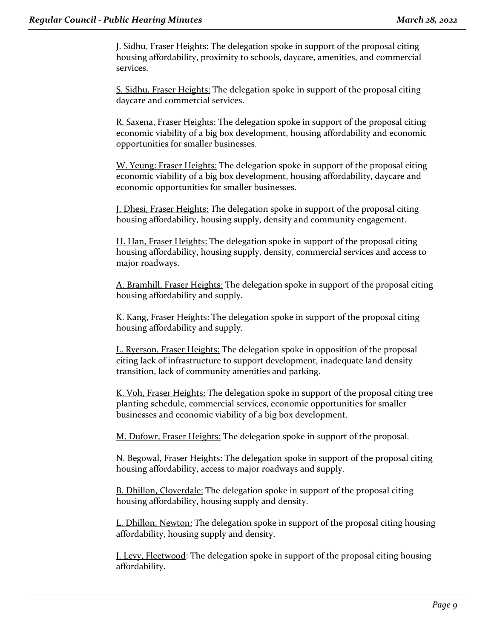J. Sidhu, Fraser Heights: The delegation spoke in support of the proposal citing housing affordability, proximity to schools, daycare, amenities, and commercial services.

S. Sidhu, Fraser Heights: The delegation spoke in support of the proposal citing daycare and commercial services.

R. Saxena, Fraser Heights: The delegation spoke in support of the proposal citing economic viability of a big box development, housing affordability and economic opportunities for smaller businesses.

W. Yeung: Fraser Heights: The delegation spoke in support of the proposal citing economic viability of a big box development, housing affordability, daycare and economic opportunities for smaller businesses.

J. Dhesi, Fraser Heights: The delegation spoke in support of the proposal citing housing affordability, housing supply, density and community engagement.

H. Han, Fraser Heights: The delegation spoke in support of the proposal citing housing affordability, housing supply, density, commercial services and access to major roadways.

A. Bramhill, Fraser Heights: The delegation spoke in support of the proposal citing housing affordability and supply.

K. Kang, Fraser Heights: The delegation spoke in support of the proposal citing housing affordability and supply.

L. Ryerson, Fraser Heights: The delegation spoke in opposition of the proposal citing lack of infrastructure to support development, inadequate land density transition, lack of community amenities and parking.

K. Voh, Fraser Heights: The delegation spoke in support of the proposal citing tree planting schedule, commercial services, economic opportunities for smaller businesses and economic viability of a big box development.

M. Dufowr, Fraser Heights: The delegation spoke in support of the proposal.

N. Begowal, Fraser Heights: The delegation spoke in support of the proposal citing housing affordability, access to major roadways and supply.

B. Dhillon, Cloverdale: The delegation spoke in support of the proposal citing housing affordability, housing supply and density.

L. Dhillon, Newton: The delegation spoke in support of the proposal citing housing affordability, housing supply and density.

J. Levy, Fleetwood: The delegation spoke in support of the proposal citing housing affordability.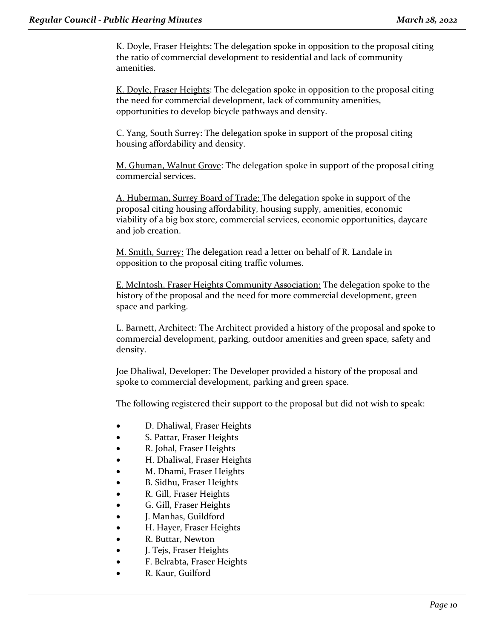K. Doyle, Fraser Heights: The delegation spoke in opposition to the proposal citing the ratio of commercial development to residential and lack of community amenities.

K. Doyle, Fraser Heights: The delegation spoke in opposition to the proposal citing the need for commercial development, lack of community amenities, opportunities to develop bicycle pathways and density.

C. Yang, South Surrey: The delegation spoke in support of the proposal citing housing affordability and density.

M. Ghuman, Walnut Grove: The delegation spoke in support of the proposal citing commercial services.

A. Huberman, Surrey Board of Trade: The delegation spoke in support of the proposal citing housing affordability, housing supply, amenities, economic viability of a big box store, commercial services, economic opportunities, daycare and job creation.

M. Smith, Surrey: The delegation read a letter on behalf of R. Landale in opposition to the proposal citing traffic volumes.

E. McIntosh, Fraser Heights Community Association: The delegation spoke to the history of the proposal and the need for more commercial development, green space and parking.

L. Barnett, Architect: The Architect provided a history of the proposal and spoke to commercial development, parking, outdoor amenities and green space, safety and density.

Joe Dhaliwal, Developer: The Developer provided a history of the proposal and spoke to commercial development, parking and green space.

The following registered their support to the proposal but did not wish to speak:

- D. Dhaliwal, Fraser Heights
- S. Pattar, Fraser Heights
- R. Johal, Fraser Heights
- H. Dhaliwal, Fraser Heights
- M. Dhami, Fraser Heights
- B. Sidhu, Fraser Heights
- R. Gill, Fraser Heights
- G. Gill, Fraser Heights
- J. Manhas, Guildford
- H. Hayer, Fraser Heights
- R. Buttar, Newton
- J. Tejs, Fraser Heights
- F. Belrabta, Fraser Heights
- R. Kaur, Guilford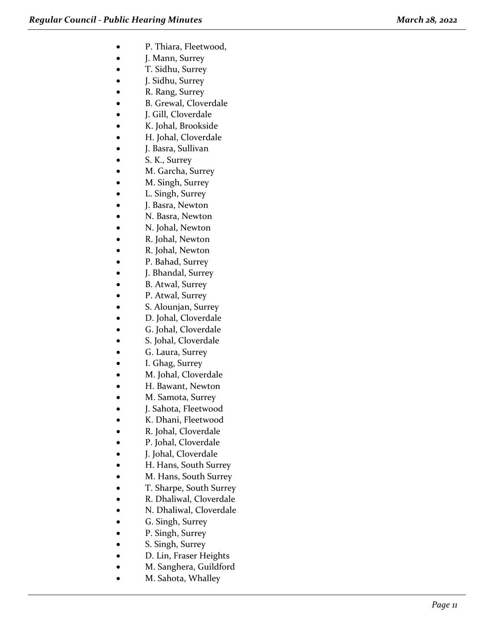- P. Thiara, Fleetwood,
- J. Mann, Surrey
- T. Sidhu, Surrey
- J. Sidhu, Surrey
- R. Rang, Surrey
- B. Grewal, Cloverdale
- J. Gill, Cloverdale
- K. Johal, Brookside
- H. Johal, Cloverdale
- J. Basra, Sullivan
- S. K., Surrey
- M. Garcha, Surrey
- M. Singh, Surrey
- L. Singh, Surrey
- J. Basra, Newton
- N. Basra, Newton
- N. Johal, Newton
- R. Johal, Newton
- R. Johal, Newton
- P. Bahad, Surrey
- J. Bhandal, Surrey
- B. Atwal, Surrey
- P. Atwal, Surrey
- S. Alounjan, Surrey
- D. Johal, Cloverdale
- G. Johal, Cloverdale
- S. Johal, Cloverdale
- G. Laura, Surrey
- I. Ghag, Surrey
- M. Johal, Cloverdale
- H. Bawant, Newton
- M. Samota, Surrey
- J. Sahota, Fleetwood
- K. Dhani, Fleetwood
- R. Johal, Cloverdale
- P. Johal, Cloverdale
- J. Johal, Cloverdale
- H. Hans, South Surrey
- M. Hans, South Surrey
- T. Sharpe, South Surrey
- R. Dhaliwal, Cloverdale
- N. Dhaliwal, Cloverdale
- G. Singh, Surrey
- P. Singh, Surrey
- S. Singh, Surrey
- D. Lin, Fraser Heights
- M. Sanghera, Guildford
- M. Sahota, Whalley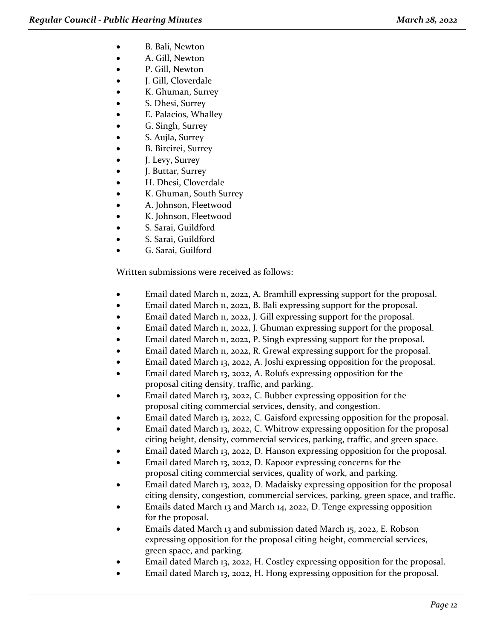- B. Bali, Newton
- A. Gill, Newton
- P. Gill, Newton
- J. Gill, Cloverdale
- K. Ghuman, Surrey
- S. Dhesi, Surrey
- E. Palacios, Whalley
- G. Singh, Surrey
- S. Aujla, Surrey
- **B. Bircirei, Surrey**
- J. Levy, Surrey
- J. Buttar, Surrey
- H. Dhesi, Cloverdale
- K. Ghuman, South Surrey
- A. Johnson, Fleetwood
- K. Johnson, Fleetwood
- S. Sarai, Guildford
- S. Sarai, Guildford
- G. Sarai, Guilford

- Email dated March 11, 2022, A. Bramhill expressing support for the proposal.
- Email dated March 11, 2022, B. Bali expressing support for the proposal.
- Email dated March 11, 2022, J. Gill expressing support for the proposal.
- Email dated March 11, 2022, J. Ghuman expressing support for the proposal.
- Email dated March 11, 2022, P. Singh expressing support for the proposal.
- Email dated March 11, 2022, R. Grewal expressing support for the proposal.
- Email dated March 13, 2022, A. Joshi expressing opposition for the proposal.
- Email dated March 13, 2022, A. Rolufs expressing opposition for the proposal citing density, traffic, and parking.
- Email dated March 13, 2022, C. Bubber expressing opposition for the proposal citing commercial services, density, and congestion.
- Email dated March 13, 2022, C. Gaisford expressing opposition for the proposal.
- Email dated March 13, 2022, C. Whitrow expressing opposition for the proposal citing height, density, commercial services, parking, traffic, and green space.
- Email dated March 13, 2022, D. Hanson expressing opposition for the proposal.
- Email dated March 13, 2022, D. Kapoor expressing concerns for the proposal citing commercial services, quality of work, and parking.
- Email dated March 13, 2022, D. Madaisky expressing opposition for the proposal citing density, congestion, commercial services, parking, green space, and traffic.
- Emails dated March 13 and March 14, 2022, D. Tenge expressing opposition for the proposal.
- Emails dated March 13 and submission dated March 15, 2022, E. Robson expressing opposition for the proposal citing height, commercial services, green space, and parking.
- Email dated March 13, 2022, H. Costley expressing opposition for the proposal.
- Email dated March 13, 2022, H. Hong expressing opposition for the proposal.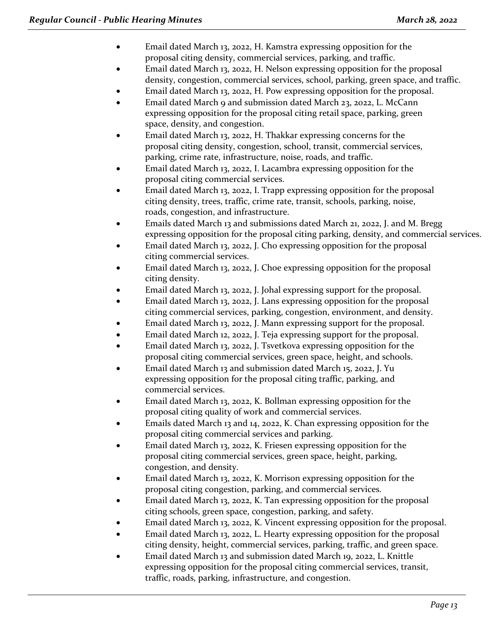- Email dated March 13, 2022, H. Kamstra expressing opposition for the proposal citing density, commercial services, parking, and traffic.
- Email dated March 13, 2022, H. Nelson expressing opposition for the proposal density, congestion, commercial services, school, parking, green space, and traffic.
- Email dated March 13, 2022, H. Pow expressing opposition for the proposal.
- Email dated March 9 and submission dated March 23, 2022, L. McCann expressing opposition for the proposal citing retail space, parking, green space, density, and congestion.
- Email dated March 13, 2022, H. Thakkar expressing concerns for the proposal citing density, congestion, school, transit, commercial services, parking, crime rate, infrastructure, noise, roads, and traffic.
- Email dated March 13, 2022, I. Lacambra expressing opposition for the proposal citing commercial services.
- Email dated March 13, 2022, I. Trapp expressing opposition for the proposal citing density, trees, traffic, crime rate, transit, schools, parking, noise, roads, congestion, and infrastructure.
- Emails dated March 13 and submissions dated March 21, 2022, J. and M. Bregg expressing opposition for the proposal citing parking, density, and commercial services.
- Email dated March 13, 2022, J. Cho expressing opposition for the proposal citing commercial services.
- Email dated March 13, 2022, J. Choe expressing opposition for the proposal citing density.
- Email dated March 13, 2022, J. Johal expressing support for the proposal.
- Email dated March 13, 2022, J. Lans expressing opposition for the proposal citing commercial services, parking, congestion, environment, and density.
- Email dated March 13, 2022, J. Mann expressing support for the proposal.
- Email dated March 12, 2022, J. Teja expressing support for the proposal.
- Email dated March 13, 2022, J. Tsvetkova expressing opposition for the proposal citing commercial services, green space, height, and schools.
- Email dated March 13 and submission dated March 15, 2022, J. Yu expressing opposition for the proposal citing traffic, parking, and commercial services.
- Email dated March 13, 2022, K. Bollman expressing opposition for the proposal citing quality of work and commercial services.
- Emails dated March 13 and 14, 2022, K. Chan expressing opposition for the proposal citing commercial services and parking.
- Email dated March 13, 2022, K. Friesen expressing opposition for the proposal citing commercial services, green space, height, parking, congestion, and density.
- Email dated March 13, 2022, K. Morrison expressing opposition for the proposal citing congestion, parking, and commercial services.
- Email dated March 13, 2022, K. Tan expressing opposition for the proposal citing schools, green space, congestion, parking, and safety.
- Email dated March 13, 2022, K. Vincent expressing opposition for the proposal.
- Email dated March 13, 2022, L. Hearty expressing opposition for the proposal citing density, height, commercial services, parking, traffic, and green space.
- Email dated March 13 and submission dated March 19, 2022, L. Knittle expressing opposition for the proposal citing commercial services, transit, traffic, roads, parking, infrastructure, and congestion.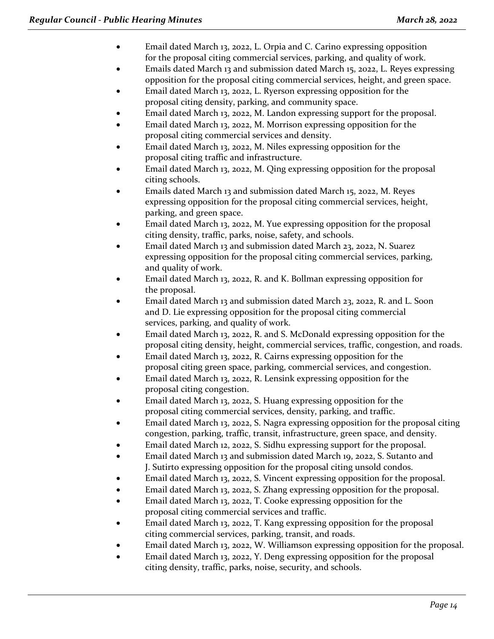- Email dated March 13, 2022, L. Orpia and C. Carino expressing opposition for the proposal citing commercial services, parking, and quality of work.
- Emails dated March 13 and submission dated March 15, 2022, L. Reyes expressing opposition for the proposal citing commercial services, height, and green space.
- Email dated March 13, 2022, L. Ryerson expressing opposition for the proposal citing density, parking, and community space.
- Email dated March 13, 2022, M. Landon expressing support for the proposal.
- Email dated March 13, 2022, M. Morrison expressing opposition for the proposal citing commercial services and density.
- Email dated March 13, 2022, M. Niles expressing opposition for the proposal citing traffic and infrastructure.
- Email dated March 13, 2022, M. Qing expressing opposition for the proposal citing schools.
- Emails dated March 13 and submission dated March 15, 2022, M. Reyes expressing opposition for the proposal citing commercial services, height, parking, and green space.
- Email dated March 13, 2022, M. Yue expressing opposition for the proposal citing density, traffic, parks, noise, safety, and schools.
- Email dated March 13 and submission dated March 23, 2022, N. Suarez expressing opposition for the proposal citing commercial services, parking, and quality of work.
- Email dated March 13, 2022, R. and K. Bollman expressing opposition for the proposal.
- Email dated March 13 and submission dated March 23, 2022, R. and L. Soon and D. Lie expressing opposition for the proposal citing commercial services, parking, and quality of work.
- Email dated March 13, 2022, R. and S. McDonald expressing opposition for the proposal citing density, height, commercial services, traffic, congestion, and roads.
- Email dated March 13, 2022, R. Cairns expressing opposition for the proposal citing green space, parking, commercial services, and congestion.
- Email dated March 13, 2022, R. Lensink expressing opposition for the proposal citing congestion.
- Email dated March 13, 2022, S. Huang expressing opposition for the proposal citing commercial services, density, parking, and traffic.
- Email dated March 13, 2022, S. Nagra expressing opposition for the proposal citing congestion, parking, traffic, transit, infrastructure, green space, and density.
- Email dated March 12, 2022, S. Sidhu expressing support for the proposal.
- Email dated March 13 and submission dated March 19, 2022, S. Sutanto and J. Sutirto expressing opposition for the proposal citing unsold condos.
- Email dated March 13, 2022, S. Vincent expressing opposition for the proposal.
- Email dated March 13, 2022, S. Zhang expressing opposition for the proposal.
- Email dated March 13, 2022, T. Cooke expressing opposition for the proposal citing commercial services and traffic.
- Email dated March 13, 2022, T. Kang expressing opposition for the proposal citing commercial services, parking, transit, and roads.
- Email dated March 13, 2022, W. Williamson expressing opposition for the proposal.
- Email dated March 13, 2022, Y. Deng expressing opposition for the proposal citing density, traffic, parks, noise, security, and schools.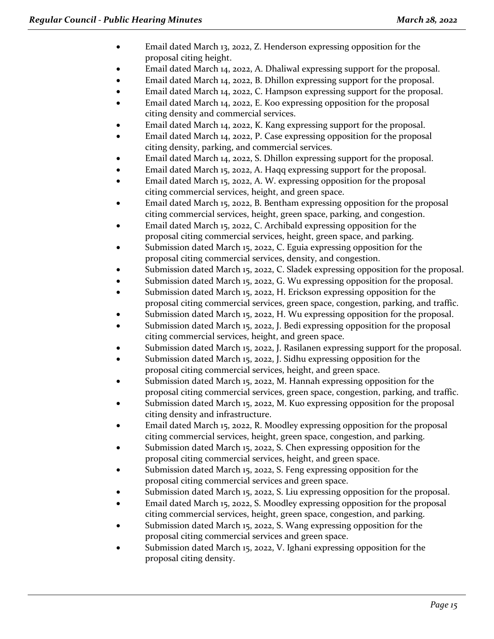- Email dated March 13, 2022, Z. Henderson expressing opposition for the proposal citing height.
- Email dated March 14, 2022, A. Dhaliwal expressing support for the proposal.
- Email dated March 14, 2022, B. Dhillon expressing support for the proposal.
- Email dated March 14, 2022, C. Hampson expressing support for the proposal.
- Email dated March 14, 2022, E. Koo expressing opposition for the proposal citing density and commercial services.
- Email dated March 14, 2022, K. Kang expressing support for the proposal.
- Email dated March 14, 2022, P. Case expressing opposition for the proposal citing density, parking, and commercial services.
- Email dated March 14, 2022, S. Dhillon expressing support for the proposal.
- Email dated March 15, 2022, A. Haqq expressing support for the proposal.
- Email dated March 15, 2022, A. W. expressing opposition for the proposal citing commercial services, height, and green space.
- Email dated March 15, 2022, B. Bentham expressing opposition for the proposal citing commercial services, height, green space, parking, and congestion.
- Email dated March 15, 2022, C. Archibald expressing opposition for the proposal citing commercial services, height, green space, and parking.
- Submission dated March 15, 2022, C. Eguia expressing opposition for the proposal citing commercial services, density, and congestion.
- Submission dated March 15, 2022, C. Sladek expressing opposition for the proposal.
- Submission dated March 15, 2022, G. Wu expressing opposition for the proposal.
- Submission dated March 15, 2022, H. Erickson expressing opposition for the proposal citing commercial services, green space, congestion, parking, and traffic.
- Submission dated March 15, 2022, H. Wu expressing opposition for the proposal.
- Submission dated March 15, 2022, J. Bedi expressing opposition for the proposal citing commercial services, height, and green space.
- Submission dated March 15, 2022, J. Rasilanen expressing support for the proposal.
- Submission dated March 15, 2022, J. Sidhu expressing opposition for the proposal citing commercial services, height, and green space.
- Submission dated March 15, 2022, M. Hannah expressing opposition for the proposal citing commercial services, green space, congestion, parking, and traffic.
- Submission dated March 15, 2022, M. Kuo expressing opposition for the proposal citing density and infrastructure.
- Email dated March 15, 2022, R. Moodley expressing opposition for the proposal citing commercial services, height, green space, congestion, and parking.
- Submission dated March 15, 2022, S. Chen expressing opposition for the proposal citing commercial services, height, and green space.
- Submission dated March 15, 2022, S. Feng expressing opposition for the proposal citing commercial services and green space.
- Submission dated March 15, 2022, S. Liu expressing opposition for the proposal.
- Email dated March 15, 2022, S. Moodley expressing opposition for the proposal citing commercial services, height, green space, congestion, and parking.
- Submission dated March 15, 2022, S. Wang expressing opposition for the proposal citing commercial services and green space.
- Submission dated March 15, 2022, V. Ighani expressing opposition for the proposal citing density.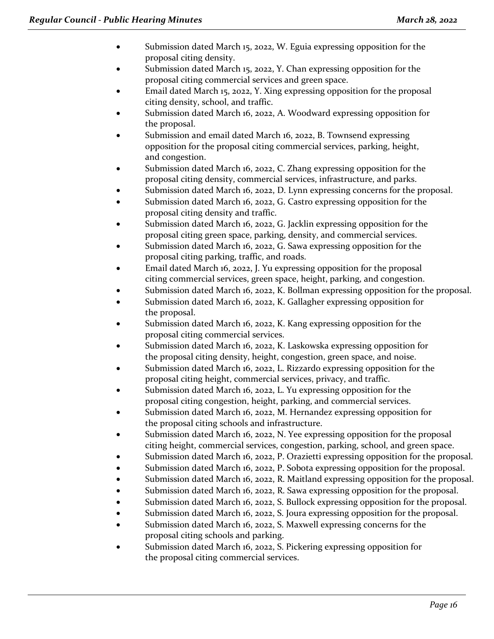- Submission dated March 15, 2022, W. Eguia expressing opposition for the proposal citing density.
- Submission dated March 15, 2022, Y. Chan expressing opposition for the proposal citing commercial services and green space.
- Email dated March 15, 2022, Y. Xing expressing opposition for the proposal citing density, school, and traffic.
- Submission dated March 16, 2022, A. Woodward expressing opposition for the proposal.
- Submission and email dated March 16, 2022, B. Townsend expressing opposition for the proposal citing commercial services, parking, height, and congestion.
- Submission dated March 16, 2022, C. Zhang expressing opposition for the proposal citing density, commercial services, infrastructure, and parks.
- Submission dated March 16, 2022, D. Lynn expressing concerns for the proposal.
- Submission dated March 16, 2022, G. Castro expressing opposition for the proposal citing density and traffic.
- Submission dated March 16, 2022, G. Jacklin expressing opposition for the proposal citing green space, parking, density, and commercial services.
- Submission dated March 16, 2022, G. Sawa expressing opposition for the proposal citing parking, traffic, and roads.
- Email dated March 16, 2022, J. Yu expressing opposition for the proposal citing commercial services, green space, height, parking, and congestion.
- Submission dated March 16, 2022, K. Bollman expressing opposition for the proposal.
- Submission dated March 16, 2022, K. Gallagher expressing opposition for the proposal.
- Submission dated March 16, 2022, K. Kang expressing opposition for the proposal citing commercial services.
- Submission dated March 16, 2022, K. Laskowska expressing opposition for the proposal citing density, height, congestion, green space, and noise.
- Submission dated March 16, 2022, L. Rizzardo expressing opposition for the proposal citing height, commercial services, privacy, and traffic.
- Submission dated March 16, 2022, L. Yu expressing opposition for the proposal citing congestion, height, parking, and commercial services.
- Submission dated March 16, 2022, M. Hernandez expressing opposition for the proposal citing schools and infrastructure.
- Submission dated March 16, 2022, N. Yee expressing opposition for the proposal citing height, commercial services, congestion, parking, school, and green space.
- Submission dated March 16, 2022, P. Orazietti expressing opposition for the proposal.
- Submission dated March 16, 2022, P. Sobota expressing opposition for the proposal.
- Submission dated March 16, 2022, R. Maitland expressing opposition for the proposal.
- Submission dated March 16, 2022, R. Sawa expressing opposition for the proposal.
- Submission dated March 16, 2022, S. Bullock expressing opposition for the proposal.
- Submission dated March 16, 2022, S. Joura expressing opposition for the proposal.
- Submission dated March 16, 2022, S. Maxwell expressing concerns for the proposal citing schools and parking.
- Submission dated March 16, 2022, S. Pickering expressing opposition for the proposal citing commercial services.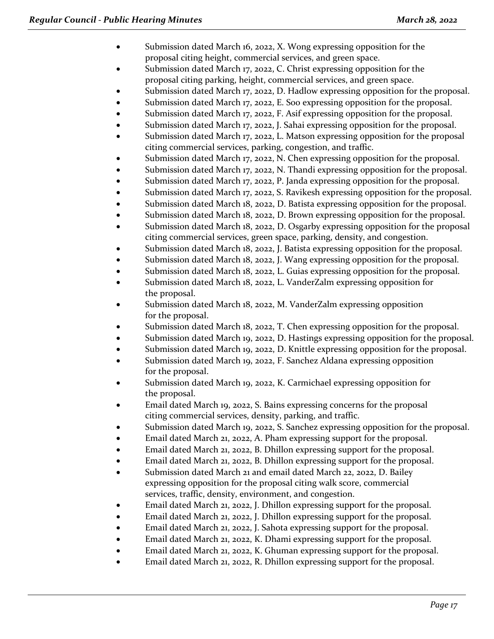- Submission dated March 16, 2022, X. Wong expressing opposition for the proposal citing height, commercial services, and green space.
- Submission dated March 17, 2022, C. Christ expressing opposition for the proposal citing parking, height, commercial services, and green space.
- Submission dated March 17, 2022, D. Hadlow expressing opposition for the proposal.
- Submission dated March 17, 2022, E. Soo expressing opposition for the proposal.
- Submission dated March 17, 2022, F. Asif expressing opposition for the proposal.
- Submission dated March 17, 2022, J. Sahai expressing opposition for the proposal.
- Submission dated March 17, 2022, L. Matson expressing opposition for the proposal citing commercial services, parking, congestion, and traffic.
- Submission dated March 17, 2022, N. Chen expressing opposition for the proposal.
- Submission dated March 17, 2022, N. Thandi expressing opposition for the proposal.
- Submission dated March 17, 2022, P. Janda expressing opposition for the proposal.
- Submission dated March 17, 2022, S. Ravikesh expressing opposition for the proposal.
- Submission dated March 18, 2022, D. Batista expressing opposition for the proposal.
- Submission dated March 18, 2022, D. Brown expressing opposition for the proposal.
- Submission dated March 18, 2022, D. Osgarby expressing opposition for the proposal citing commercial services, green space, parking, density, and congestion.
- Submission dated March 18, 2022, J. Batista expressing opposition for the proposal.
- Submission dated March 18, 2022, J. Wang expressing opposition for the proposal.
- Submission dated March 18, 2022, L. Guias expressing opposition for the proposal.
- Submission dated March 18, 2022, L. VanderZalm expressing opposition for the proposal.
- Submission dated March 18, 2022, M. VanderZalm expressing opposition for the proposal.
- Submission dated March 18, 2022, T. Chen expressing opposition for the proposal.
- Submission dated March 19, 2022, D. Hastings expressing opposition for the proposal.
- Submission dated March 19, 2022, D. Knittle expressing opposition for the proposal.
- Submission dated March 19, 2022, F. Sanchez Aldana expressing opposition for the proposal.
- Submission dated March 19, 2022, K. Carmichael expressing opposition for the proposal.
- Email dated March 19, 2022, S. Bains expressing concerns for the proposal citing commercial services, density, parking, and traffic.
- Submission dated March 19, 2022, S. Sanchez expressing opposition for the proposal.
- Email dated March 21, 2022, A. Pham expressing support for the proposal.
- Email dated March 21, 2022, B. Dhillon expressing support for the proposal.
- Email dated March 21, 2022, B. Dhillon expressing support for the proposal.
- Submission dated March 21 and email dated March 22, 2022, D. Bailey expressing opposition for the proposal citing walk score, commercial services, traffic, density, environment, and congestion.
- Email dated March 21, 2022, J. Dhillon expressing support for the proposal.
- Email dated March 21, 2022, J. Dhillon expressing support for the proposal.
- Email dated March 21, 2022, J. Sahota expressing support for the proposal.
- Email dated March 21, 2022, K. Dhami expressing support for the proposal.
- Email dated March 21, 2022, K. Ghuman expressing support for the proposal.
- Email dated March 21, 2022, R. Dhillon expressing support for the proposal.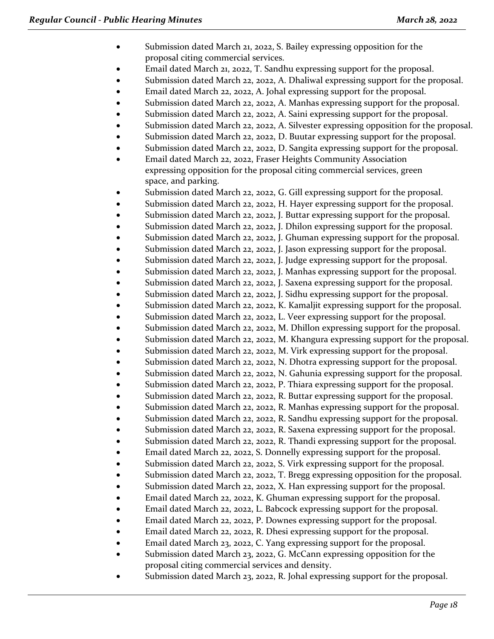- Submission dated March 21, 2022, S. Bailey expressing opposition for the proposal citing commercial services.
- Email dated March 21, 2022, T. Sandhu expressing support for the proposal.
- Submission dated March 22, 2022, A. Dhaliwal expressing support for the proposal.
	- Email dated March 22, 2022, A. Johal expressing support for the proposal.
- Submission dated March 22, 2022, A. Manhas expressing support for the proposal.
- Submission dated March 22, 2022, A. Saini expressing support for the proposal.
- Submission dated March 22, 2022, A. Silvester expressing opposition for the proposal.
- Submission dated March 22, 2022, D. Buutar expressing support for the proposal.
- Submission dated March 22, 2022, D. Sangita expressing support for the proposal.
- Email dated March 22, 2022, Fraser Heights Community Association expressing opposition for the proposal citing commercial services, green space, and parking.
- Submission dated March 22, 2022, G. Gill expressing support for the proposal.
- Submission dated March 22, 2022, H. Hayer expressing support for the proposal.
- Submission dated March 22, 2022, J. Buttar expressing support for the proposal.
- Submission dated March 22, 2022, J. Dhilon expressing support for the proposal.
- Submission dated March 22, 2022, J. Ghuman expressing support for the proposal.
- Submission dated March 22, 2022, J. Jason expressing support for the proposal.
- Submission dated March 22, 2022, J. Judge expressing support for the proposal.
- Submission dated March 22, 2022, J. Manhas expressing support for the proposal.
- Submission dated March 22, 2022, J. Saxena expressing support for the proposal.
- Submission dated March 22, 2022, J. Sidhu expressing support for the proposal.
- Submission dated March 22, 2022, K. Kamaljit expressing support for the proposal.
- Submission dated March 22, 2022, L. Veer expressing support for the proposal.
- Submission dated March 22, 2022, M. Dhillon expressing support for the proposal.
- Submission dated March 22, 2022, M. Khangura expressing support for the proposal.
- Submission dated March 22, 2022, M. Virk expressing support for the proposal.
- Submission dated March 22, 2022, N. Dhotra expressing support for the proposal.
- Submission dated March 22, 2022, N. Gahunia expressing support for the proposal.
- Submission dated March 22, 2022, P. Thiara expressing support for the proposal.
- Submission dated March 22, 2022, R. Buttar expressing support for the proposal.
- Submission dated March 22, 2022, R. Manhas expressing support for the proposal.
- Submission dated March 22, 2022, R. Sandhu expressing support for the proposal.
- Submission dated March 22, 2022, R. Saxena expressing support for the proposal.
- Submission dated March 22, 2022, R. Thandi expressing support for the proposal.
- Email dated March 22, 2022, S. Donnelly expressing support for the proposal.
- Submission dated March 22, 2022, S. Virk expressing support for the proposal.
- Submission dated March 22, 2022, T. Bregg expressing opposition for the proposal.
- Submission dated March 22, 2022, X. Han expressing support for the proposal.
- Email dated March 22, 2022, K. Ghuman expressing support for the proposal.
- Email dated March 22, 2022, L. Babcock expressing support for the proposal.
- Email dated March 22, 2022, P. Downes expressing support for the proposal.
- Email dated March 22, 2022, R. Dhesi expressing support for the proposal.
- Email dated March 23, 2022, C. Yang expressing support for the proposal.
- Submission dated March 23, 2022, G. McCann expressing opposition for the proposal citing commercial services and density.
- Submission dated March 23, 2022, R. Johal expressing support for the proposal.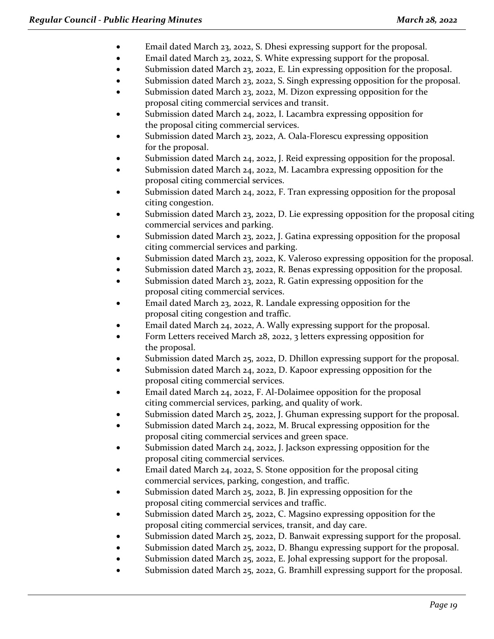- Email dated March 23, 2022, S. Dhesi expressing support for the proposal.
- Email dated March 23, 2022, S. White expressing support for the proposal.
- Submission dated March 23, 2022, E. Lin expressing opposition for the proposal.
- Submission dated March 23, 2022, S. Singh expressing opposition for the proposal.
- Submission dated March 23, 2022, M. Dizon expressing opposition for the proposal citing commercial services and transit.
- Submission dated March 24, 2022, I. Lacambra expressing opposition for the proposal citing commercial services.
- Submission dated March 23, 2022, A. Oala-Florescu expressing opposition for the proposal.
- Submission dated March 24, 2022, J. Reid expressing opposition for the proposal.
- Submission dated March 24, 2022, M. Lacambra expressing opposition for the proposal citing commercial services.
- Submission dated March 24, 2022, F. Tran expressing opposition for the proposal citing congestion.
- Submission dated March 23, 2022, D. Lie expressing opposition for the proposal citing commercial services and parking.
- Submission dated March 23, 2022, J. Gatina expressing opposition for the proposal citing commercial services and parking.
- Submission dated March 23, 2022, K. Valeroso expressing opposition for the proposal.
- Submission dated March 23, 2022, R. Benas expressing opposition for the proposal.
- Submission dated March 23, 2022, R. Gatin expressing opposition for the proposal citing commercial services.
- Email dated March 23, 2022, R. Landale expressing opposition for the proposal citing congestion and traffic.
- Email dated March 24, 2022, A. Wally expressing support for the proposal.
- Form Letters received March 28, 2022, 3 letters expressing opposition for the proposal.
- Submission dated March 25, 2022, D. Dhillon expressing support for the proposal.
- Submission dated March 24, 2022, D. Kapoor expressing opposition for the proposal citing commercial services.
- Email dated March 24, 2022, F. Al-Dolaimee opposition for the proposal citing commercial services, parking, and quality of work.
- Submission dated March 25, 2022, J. Ghuman expressing support for the proposal.
- Submission dated March 24, 2022, M. Brucal expressing opposition for the proposal citing commercial services and green space.
- Submission dated March 24, 2022, J. Jackson expressing opposition for the proposal citing commercial services.
- Email dated March 24, 2022, S. Stone opposition for the proposal citing commercial services, parking, congestion, and traffic.
- Submission dated March 25, 2022, B. Jin expressing opposition for the proposal citing commercial services and traffic.
- Submission dated March 25, 2022, C. Magsino expressing opposition for the proposal citing commercial services, transit, and day care.
- Submission dated March 25, 2022, D. Banwait expressing support for the proposal.
- Submission dated March 25, 2022, D. Bhangu expressing support for the proposal.
- Submission dated March 25, 2022, E. Johal expressing support for the proposal.
- Submission dated March 25, 2022, G. Bramhill expressing support for the proposal.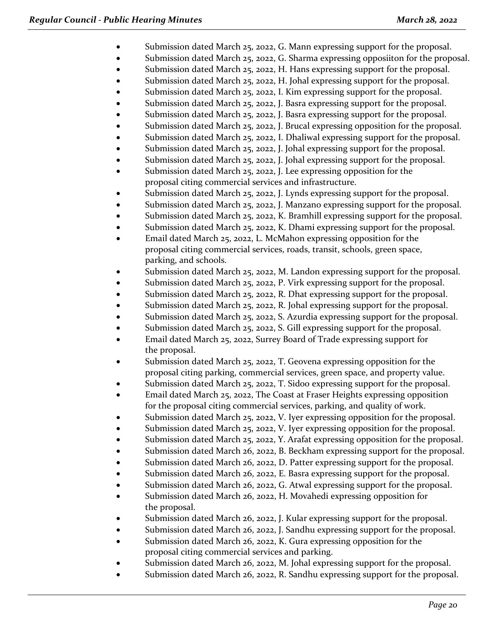- Submission dated March 25, 2022, G. Mann expressing support for the proposal.
- Submission dated March 25, 2022, G. Sharma expressing opposiiton for the proposal.
- Submission dated March 25, 2022, H. Hans expressing support for the proposal.
- Submission dated March 25, 2022, H. Johal expressing support for the proposal.
- Submission dated March 25, 2022, I. Kim expressing support for the proposal.
- Submission dated March 25, 2022, J. Basra expressing support for the proposal.
- Submission dated March 25, 2022, J. Basra expressing support for the proposal.
- Submission dated March 25, 2022, J. Brucal expressing opposition for the proposal.
- Submission dated March 25, 2022, I. Dhaliwal expressing support for the proposal.
- Submission dated March 25, 2022, J. Johal expressing support for the proposal.
- Submission dated March 25, 2022, J. Johal expressing support for the proposal.
- Submission dated March 25, 2022, J. Lee expressing opposition for the proposal citing commercial services and infrastructure.
- Submission dated March 25, 2022, J. Lynds expressing support for the proposal.
- Submission dated March 25, 2022, J. Manzano expressing support for the proposal.
- Submission dated March 25, 2022, K. Bramhill expressing support for the proposal.
- Submission dated March 25, 2022, K. Dhami expressing support for the proposal.
- Email dated March 25, 2022, L. McMahon expressing opposition for the proposal citing commercial services, roads, transit, schools, green space, parking, and schools.
- Submission dated March 25, 2022, M. Landon expressing support for the proposal.
- Submission dated March 25, 2022, P. Virk expressing support for the proposal.
- Submission dated March 25, 2022, R. Dhat expressing support for the proposal.
- Submission dated March 25, 2022, R. Johal expressing support for the proposal.
- Submission dated March 25, 2022, S. Azurdia expressing support for the proposal.
- Submission dated March 25, 2022, S. Gill expressing support for the proposal.
- Email dated March 25, 2022, Surrey Board of Trade expressing support for the proposal.
- Submission dated March 25, 2022, T. Geovena expressing opposition for the proposal citing parking, commercial services, green space, and property value.
- Submission dated March 25, 2022, T. Sidoo expressing support for the proposal.
- Email dated March 25, 2022, The Coast at Fraser Heights expressing opposition for the proposal citing commercial services, parking, and quality of work.
- Submission dated March 25, 2022, V. Iyer expressing opposition for the proposal.
- Submission dated March 25, 2022, V. Iyer expressing opposition for the proposal.
- Submission dated March 25, 2022, Y. Arafat expressing opposition for the proposal.
- Submission dated March 26, 2022, B. Beckham expressing support for the proposal.
- Submission dated March 26, 2022, D. Patter expressing support for the proposal.
- Submission dated March 26, 2022, E. Basra expressing support for the proposal.
- Submission dated March 26, 2022, G. Atwal expressing support for the proposal.
- Submission dated March 26, 2022, H. Movahedi expressing opposition for the proposal.
- Submission dated March 26, 2022, J. Kular expressing support for the proposal.
- Submission dated March 26, 2022, J. Sandhu expressing support for the proposal.
- Submission dated March 26, 2022, K. Gura expressing opposition for the proposal citing commercial services and parking.
- Submission dated March 26, 2022, M. Johal expressing support for the proposal.
- Submission dated March 26, 2022, R. Sandhu expressing support for the proposal.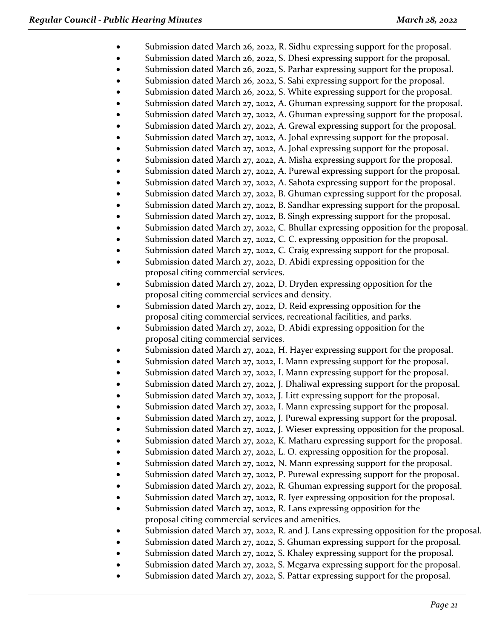- Submission dated March 26, 2022, R. Sidhu expressing support for the proposal.
- Submission dated March 26, 2022, S. Dhesi expressing support for the proposal.
- Submission dated March 26, 2022, S. Parhar expressing support for the proposal.
- Submission dated March 26, 2022, S. Sahi expressing support for the proposal.
- Submission dated March 26, 2022, S. White expressing support for the proposal.
- Submission dated March 27, 2022, A. Ghuman expressing support for the proposal.
- Submission dated March 27, 2022, A. Ghuman expressing support for the proposal.
- Submission dated March 27, 2022, A. Grewal expressing support for the proposal.
- Submission dated March 27, 2022, A. Johal expressing support for the proposal.
- Submission dated March 27, 2022, A. Johal expressing support for the proposal.
- Submission dated March 27, 2022, A. Misha expressing support for the proposal.
- Submission dated March 27, 2022, A. Purewal expressing support for the proposal.
- Submission dated March 27, 2022, A. Sahota expressing support for the proposal.
- Submission dated March 27, 2022, B. Ghuman expressing support for the proposal.
- Submission dated March 27, 2022, B. Sandhar expressing support for the proposal.
- Submission dated March 27, 2022, B. Singh expressing support for the proposal.
- Submission dated March 27, 2022, C. Bhullar expressing opposition for the proposal.
- Submission dated March 27, 2022, C. C. expressing opposition for the proposal.
- Submission dated March 27, 2022, C. Craig expressing support for the proposal.
- Submission dated March 27, 2022, D. Abidi expressing opposition for the proposal citing commercial services.
- Submission dated March 27, 2022, D. Dryden expressing opposition for the proposal citing commercial services and density.
- Submission dated March 27, 2022, D. Reid expressing opposition for the proposal citing commercial services, recreational facilities, and parks.
- Submission dated March 27, 2022, D. Abidi expressing opposition for the proposal citing commercial services.
- Submission dated March 27, 2022, H. Hayer expressing support for the proposal.
- Submission dated March 27, 2022, I. Mann expressing support for the proposal.
- Submission dated March 27, 2022, I. Mann expressing support for the proposal.
- Submission dated March 27, 2022, J. Dhaliwal expressing support for the proposal.
- Submission dated March 27, 2022, J. Litt expressing support for the proposal.
- Submission dated March 27, 2022, I. Mann expressing support for the proposal.
- Submission dated March 27, 2022, J. Purewal expressing support for the proposal.
- Submission dated March 27, 2022, J. Wieser expressing opposition for the proposal.
- Submission dated March 27, 2022, K. Matharu expressing support for the proposal.
- Submission dated March 27, 2022, L. O. expressing opposition for the proposal.
- Submission dated March 27, 2022, N. Mann expressing support for the proposal.
- Submission dated March 27, 2022, P. Purewal expressing support for the proposal.
- Submission dated March 27, 2022, R. Ghuman expressing support for the proposal.
- Submission dated March 27, 2022, R. Iyer expressing opposition for the proposal.
- Submission dated March 27, 2022, R. Lans expressing opposition for the proposal citing commercial services and amenities.
- Submission dated March 27, 2022, R. and J. Lans expressing opposition for the proposal.
- Submission dated March 27, 2022, S. Ghuman expressing support for the proposal.
- Submission dated March 27, 2022, S. Khaley expressing support for the proposal.
- Submission dated March 27, 2022, S. Mcgarva expressing support for the proposal.
- Submission dated March 27, 2022, S. Pattar expressing support for the proposal.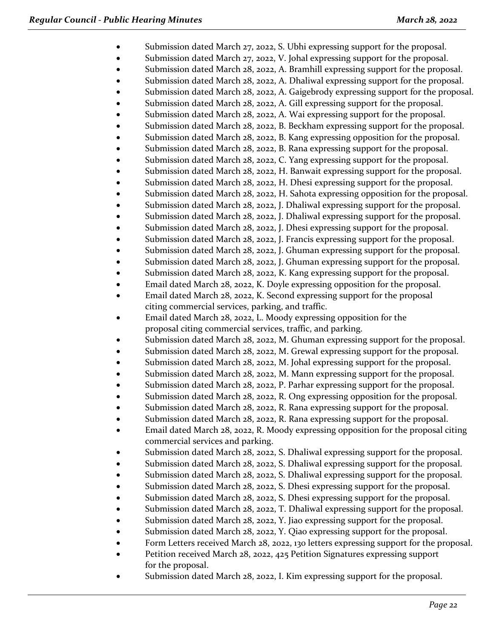- Submission dated March 27, 2022, S. Ubhi expressing support for the proposal.
- Submission dated March 27, 2022, V. Johal expressing support for the proposal.
- Submission dated March 28, 2022, A. Bramhill expressing support for the proposal.
- Submission dated March 28, 2022, A. Dhaliwal expressing support for the proposal.
- Submission dated March 28, 2022, A. Gaigebrody expressing support for the proposal.
- Submission dated March 28, 2022, A. Gill expressing support for the proposal.
- Submission dated March 28, 2022, A. Wai expressing support for the proposal.
- Submission dated March 28, 2022, B. Beckham expressing support for the proposal.
- Submission dated March 28, 2022, B. Kang expressing opposition for the proposal.
- Submission dated March 28, 2022, B. Rana expressing support for the proposal.
- Submission dated March 28, 2022, C. Yang expressing support for the proposal.
- Submission dated March 28, 2022, H. Banwait expressing support for the proposal.
- Submission dated March 28, 2022, H. Dhesi expressing support for the proposal.
- Submission dated March 28, 2022, H. Sahota expressing opposition for the proposal.
- Submission dated March 28, 2022, J. Dhaliwal expressing support for the proposal.
- Submission dated March 28, 2022, J. Dhaliwal expressing support for the proposal.
- Submission dated March 28, 2022, J. Dhesi expressing support for the proposal.
- Submission dated March 28, 2022, J. Francis expressing support for the proposal.
- Submission dated March 28, 2022, J. Ghuman expressing support for the proposal.
- Submission dated March 28, 2022, J. Ghuman expressing support for the proposal.
- Submission dated March 28, 2022, K. Kang expressing support for the proposal.
- Email dated March 28, 2022, K. Doyle expressing opposition for the proposal.
- Email dated March 28, 2022, K. Second expressing support for the proposal citing commercial services, parking, and traffic.
- Email dated March 28, 2022, L. Moody expressing opposition for the proposal citing commercial services, traffic, and parking.
- Submission dated March 28, 2022, M. Ghuman expressing support for the proposal.
- Submission dated March 28, 2022, M. Grewal expressing support for the proposal.
- Submission dated March 28, 2022, M. Johal expressing support for the proposal.
- Submission dated March 28, 2022, M. Mann expressing support for the proposal.
- Submission dated March 28, 2022, P. Parhar expressing support for the proposal.
- Submission dated March 28, 2022, R. Ong expressing opposition for the proposal.
- Submission dated March 28, 2022, R. Rana expressing support for the proposal.
- Submission dated March 28, 2022, R. Rana expressing support for the proposal.
- Email dated March 28, 2022, R. Moody expressing opposition for the proposal citing commercial services and parking.
- Submission dated March 28, 2022, S. Dhaliwal expressing support for the proposal.
- Submission dated March 28, 2022, S. Dhaliwal expressing support for the proposal.
- Submission dated March 28, 2022, S. Dhaliwal expressing support for the proposal.
- Submission dated March 28, 2022, S. Dhesi expressing support for the proposal.
- Submission dated March 28, 2022, S. Dhesi expressing support for the proposal.
- Submission dated March 28, 2022, T. Dhaliwal expressing support for the proposal.
- Submission dated March 28, 2022, Y. Jiao expressing support for the proposal.
- Submission dated March 28, 2022, Y. Qiao expressing support for the proposal.
- Form Letters received March 28, 2022, 130 letters expressing support for the proposal.
- Petition received March 28, 2022, 425 Petition Signatures expressing support for the proposal.
- Submission dated March 28, 2022, I. Kim expressing support for the proposal.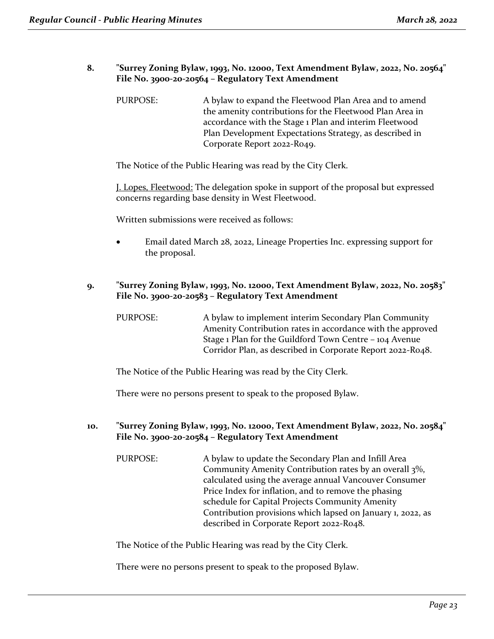#### **8. "Surrey Zoning Bylaw, 1993, No. 12000, Text Amendment Bylaw, 2022, No. 20564" File No. 3900-20-20564 – Regulatory Text Amendment**

PURPOSE: A bylaw to expand the Fleetwood Plan Area and to amend the amenity contributions for the Fleetwood Plan Area in accordance with the Stage 1 Plan and interim Fleetwood Plan Development Expectations Strategy, as described in Corporate Report 2022-R049.

The Notice of the Public Hearing was read by the City Clerk.

J. Lopes, Fleetwood: The delegation spoke in support of the proposal but expressed concerns regarding base density in West Fleetwood.

Written submissions were received as follows:

• Email dated March 28, 2022, Lineage Properties Inc. expressing support for the proposal.

#### **9. "Surrey Zoning Bylaw, 1993, No. 12000, Text Amendment Bylaw, 2022, No. 20583" File No. 3900-20-20583 – Regulatory Text Amendment**

PURPOSE: A bylaw to implement interim Secondary Plan Community Amenity Contribution rates in accordance with the approved Stage 1 Plan for the Guildford Town Centre – 104 Avenue Corridor Plan, as described in Corporate Report 2022-R048.

The Notice of the Public Hearing was read by the City Clerk.

There were no persons present to speak to the proposed Bylaw.

#### **10. "Surrey Zoning Bylaw, 1993, No. 12000, Text Amendment Bylaw, 2022, No. 20584" File No. 3900-20-20584 – Regulatory Text Amendment**

PURPOSE: A bylaw to update the Secondary Plan and Infill Area Community Amenity Contribution rates by an overall 3%, calculated using the average annual Vancouver Consumer Price Index for inflation, and to remove the phasing schedule for Capital Projects Community Amenity Contribution provisions which lapsed on January 1, 2022, as described in Corporate Report 2022-R048.

The Notice of the Public Hearing was read by the City Clerk.

There were no persons present to speak to the proposed Bylaw.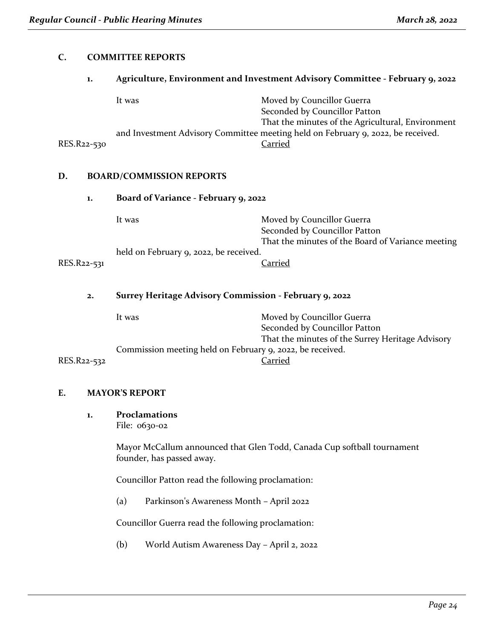#### **C. COMMITTEE REPORTS**

#### **1. Agriculture, Environment and Investment Advisory Committee - February 9, 2022**

|             | It was | Moved by Councillor Guerra                                                       |
|-------------|--------|----------------------------------------------------------------------------------|
|             |        | Seconded by Councillor Patton                                                    |
|             |        | That the minutes of the Agricultural, Environment                                |
|             |        | and Investment Advisory Committee meeting held on February 9, 2022, be received. |
| RES.R22-530 |        | Carried                                                                          |

#### **D. BOARD/COMMISSION REPORTS**

| <u>.</u>    | BOTHLD / COMMISSION RELIGIO                            |                                                                                                                  |
|-------------|--------------------------------------------------------|------------------------------------------------------------------------------------------------------------------|
| 1.          | Board of Variance - February 9, 2022                   |                                                                                                                  |
|             | It was                                                 | Moved by Councillor Guerra<br>Seconded by Councillor Patton<br>That the minutes of the Board of Variance meeting |
| RES.R22-531 | held on February 9, 2022, be received.                 | Carried                                                                                                          |
| 2.          | Surrey Heritage Advisory Commission - February 9, 2022 |                                                                                                                  |
|             | It was                                                 | Moved by Councillor Guerra                                                                                       |

|             | IL WdS                                                    | MOVED DY COUNCINOR GUERRA                        |
|-------------|-----------------------------------------------------------|--------------------------------------------------|
|             |                                                           | Seconded by Councillor Patton                    |
|             |                                                           | That the minutes of the Surrey Heritage Advisory |
|             | Commission meeting held on February 9, 2022, be received. |                                                  |
| RES.R22-532 |                                                           | Carried                                          |

# **E. MAYOR'S REPORT**

**1. Proclamations**

File: 0630-02

Mayor McCallum announced that Glen Todd, Canada Cup softball tournament founder, has passed away.

Councillor Patton read the following proclamation:

(a) Parkinson's Awareness Month – April 2022

Councillor Guerra read the following proclamation:

(b) World Autism Awareness Day – April 2, 2022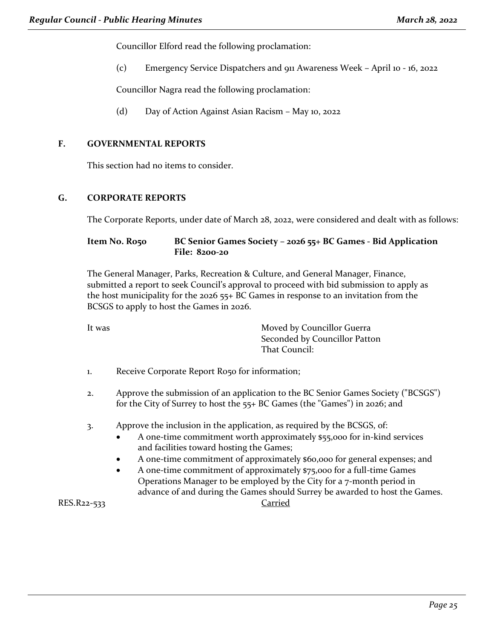Councillor Elford read the following proclamation:

(c) Emergency Service Dispatchers and 911 Awareness Week – April 10 - 16, 2022

Councillor Nagra read the following proclamation:

(d) Day of Action Against Asian Racism – May 10, 2022

#### **F. GOVERNMENTAL REPORTS**

This section had no items to consider.

#### **G. CORPORATE REPORTS**

The Corporate Reports, under date of March 28, 2022, were considered and dealt with as follows:

#### **Item No. R050 BC Senior Games Society – 2026 55+ BC Games - Bid Application File: 8200-20**

The General Manager, Parks, Recreation & Culture, and General Manager, Finance, submitted a report to seek Council's approval to proceed with bid submission to apply as the host municipality for the 2026 55+ BC Games in response to an invitation from the BCSGS to apply to host the Games in 2026.

It was **Moved by Councillor Guerra** Seconded by Councillor Patton That Council:

- 1. Receive Corporate Report R050 for information;
- 2. Approve the submission of an application to the BC Senior Games Society ("BCSGS") for the City of Surrey to host the 55+ BC Games (the "Games") in 2026; and
- 3. Approve the inclusion in the application, as required by the BCSGS, of:
	- A one-time commitment worth approximately \$55,000 for in-kind services and facilities toward hosting the Games;
	- A one-time commitment of approximately \$60,000 for general expenses; and
	- A one-time commitment of approximately \$75,000 for a full-time Games Operations Manager to be employed by the City for a 7-month period in advance of and during the Games should Surrey be awarded to host the Games.

RES.R22-533 Carried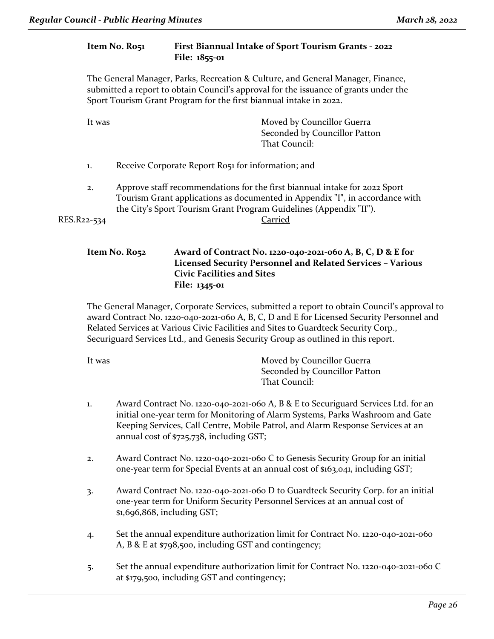### **Item No. R051 First Biannual Intake of Sport Tourism Grants - 2022 File: 1855-01**

The General Manager, Parks, Recreation & Culture, and General Manager, Finance, submitted a report to obtain Council's approval for the issuance of grants under the Sport Tourism Grant Program for the first biannual intake in 2022.

It was **Moved by Councillor Guerra** Seconded by Councillor Patton That Council:

- 1. Receive Corporate Report R051 for information; and
- 2. Approve staff recommendations for the first biannual intake for 2022 Sport Tourism Grant applications as documented in Appendix "I", in accordance with the City's Sport Tourism Grant Program Guidelines (Appendix "II").

RES.R22-534 Carried

#### **Item No. R052 Award of Contract No. 1220-040-2021-060 A, B, C, D & E for Licensed Security Personnel and Related Services – Various Civic Facilities and Sites File: 1345-01**

The General Manager, Corporate Services, submitted a report to obtain Council's approval to award Contract No. 1220‐040‐2021‐060 A, B, C, D and E for Licensed Security Personnel and Related Services at Various Civic Facilities and Sites to Guardteck Security Corp., Securiguard Services Ltd., and Genesis Security Group as outlined in this report.

It was **Moved by Councillor Guerra** Seconded by Councillor Patton That Council:

- 1. Award Contract No. 1220‐040‐2021‐060 A, B & E to Securiguard Services Ltd. for an initial one‐year term for Monitoring of Alarm Systems, Parks Washroom and Gate Keeping Services, Call Centre, Mobile Patrol, and Alarm Response Services at an annual cost of \$725,738, including GST;
- 2. Award Contract No. 1220‐040‐2021‐060 C to Genesis Security Group for an initial one‐year term for Special Events at an annual cost of \$163,041, including GST;
- 3. Award Contract No. 1220‐040‐2021‐060 D to Guardteck Security Corp. for an initial one-year term for Uniform Security Personnel Services at an annual cost of \$1,696,868, including GST;
- 4. Set the annual expenditure authorization limit for Contract No. 1220‐040‐2021‐060 A, B & E at \$798,500, including GST and contingency;
- 5. Set the annual expenditure authorization limit for Contract No. 1220‐040‐2021‐060 C at \$179,500, including GST and contingency;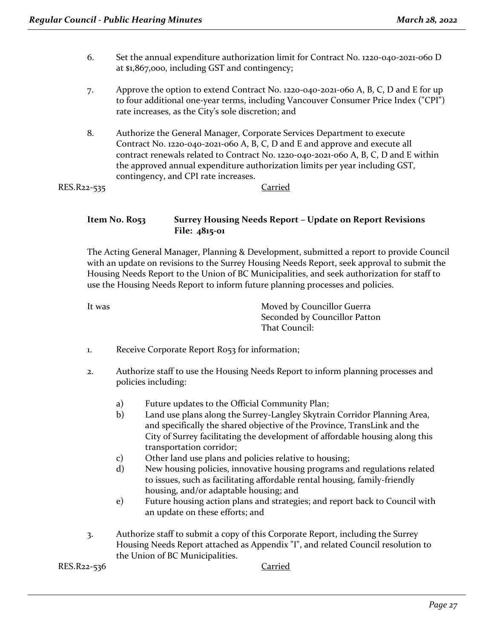- 6. Set the annual expenditure authorization limit for Contract No. 1220‐040‐2021‐060 D at \$1,867,000, including GST and contingency;
- 7. Approve the option to extend Contract No. 1220‐040‐2021‐060 A, B, C, D and E for up to four additional one‐year terms, including Vancouver Consumer Price Index ("CPI") rate increases, as the City's sole discretion; and
- 8. Authorize the General Manager, Corporate Services Department to execute Contract No. 1220‐040‐2021‐060 A, B, C, D and E and approve and execute all contract renewals related to Contract No. 1220‐040‐2021‐060 A, B, C, D and E within the approved annual expenditure authorization limits per year including GST, contingency, and CPI rate increases.

RES.R22-535 Carried

#### **Item No. R053 Surrey Housing Needs Report – Update on Report Revisions File: 4815-01**

The Acting General Manager, Planning & Development, submitted a report to provide Council with an update on revisions to the Surrey Housing Needs Report, seek approval to submit the Housing Needs Report to the Union of BC Municipalities, and seek authorization for staff to use the Housing Needs Report to inform future planning processes and policies.

It was **Moved by Councillor Guerra** Seconded by Councillor Patton That Council:

- 1. Receive Corporate Report R053 for information;
- 2. Authorize staff to use the Housing Needs Report to inform planning processes and policies including:
	- a) Future updates to the Official Community Plan;
	- b) Land use plans along the Surrey-Langley Skytrain Corridor Planning Area, and specifically the shared objective of the Province, TransLink and the City of Surrey facilitating the development of affordable housing along this transportation corridor;
	- c) Other land use plans and policies relative to housing;
	- d) New housing policies, innovative housing programs and regulations related to issues, such as facilitating affordable rental housing, family-friendly housing, and/or adaptable housing; and
	- e) Future housing action plans and strategies; and report back to Council with an update on these efforts; and
- 3. Authorize staff to submit a copy of this Corporate Report, including the Surrey Housing Needs Report attached as Appendix "I", and related Council resolution to the Union of BC Municipalities.

RES.R22-536 Carried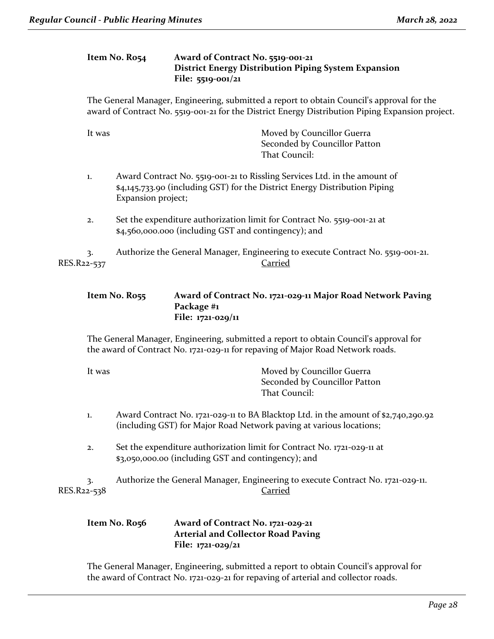#### **Item No. R054 Award of Contract No. 5519-001-21 District Energy Distribution Piping System Expansion File: 5519-001/21**

The General Manager, Engineering, submitted a report to obtain Council's approval for the award of Contract No. 5519-001-21 for the District Energy Distribution Piping Expansion project.

| It was            | Moved by Councillor Guerra<br>Seconded by Councillor Patton<br>That Council:                                                                                                  |
|-------------------|-------------------------------------------------------------------------------------------------------------------------------------------------------------------------------|
| 1.                | Award Contract No. 5519-001-21 to Rissling Services Ltd. in the amount of<br>\$4,145,733.90 (including GST) for the District Energy Distribution Piping<br>Expansion project; |
| 2.                | Set the expenditure authorization limit for Contract No. 5519-001-21 at<br>\$4,560,000.000 (including GST and contingency); and                                               |
| 3.<br>RES.R22-537 | Authorize the General Manager, Engineering to execute Contract No. 5519-001-21.<br>Carried                                                                                    |

#### **Item No. R055 Award of Contract No. 1721-029-11 Major Road Network Paving Package #1 File: 1721-029/11**

The General Manager, Engineering, submitted a report to obtain Council's approval for the award of Contract No. 1721-029-11 for repaving of Major Road Network roads.

| It was | Moved by Councillor Guerra    |
|--------|-------------------------------|
|        | Seconded by Councillor Patton |
|        | That Council:                 |

- 1. Award Contract No. 1721-029-11 to BA Blacktop Ltd. in the amount of \$2,740,290.92 (including GST) for Major Road Network paving at various locations;
- 2. Set the expenditure authorization limit for Contract No. 1721-029-11 at \$3,050,000.00 (including GST and contingency); and

3. Authorize the General Manager, Engineering to execute Contract No. 1721-029-11. RES.R22-538 Carried

#### **Item No. R056 Award of Contract No. 1721-029-21 Arterial and Collector Road Paving File: 1721-029/21**

The General Manager, Engineering, submitted a report to obtain Council's approval for the award of Contract No. 1721-029-21 for repaving of arterial and collector roads.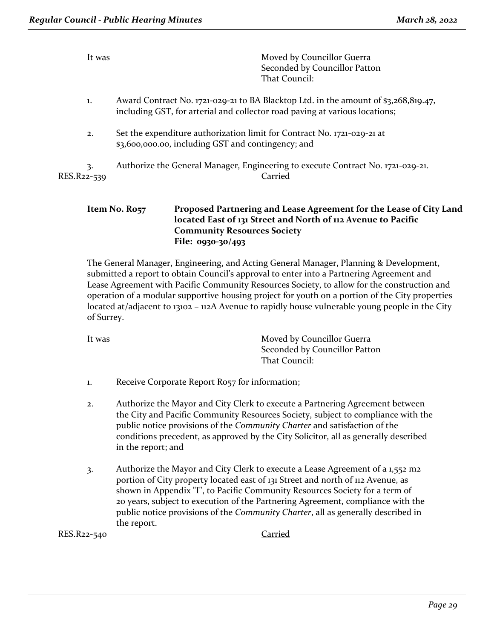| It was            | Moved by Councillor Guerra<br>Seconded by Councillor Patton<br>That Council:                                                                                       |  |
|-------------------|--------------------------------------------------------------------------------------------------------------------------------------------------------------------|--|
| 1.                | Award Contract No. 1721-029-21 to BA Blacktop Ltd. in the amount of \$3,268,819.47,<br>including GST, for arterial and collector road paving at various locations; |  |
| 2.                | Set the expenditure authorization limit for Contract No. 1721-029-21 at<br>\$3,600,000.00, including GST and contingency; and                                      |  |
| 3.<br>RES.R22-539 | Authorize the General Manager, Engineering to execute Contract No. 1721-029-21.<br>Carried                                                                         |  |
|                   | Droposed Dartnering and Losse Agreement for the Losse of City<br>$I+am$ $No$ $D0=$                                                                                 |  |

#### **Item No. R057 Proposed Partnering and Lease Agreement for the Lease of City Land located East of 131 Street and North of 112 Avenue to Pacific Community Resources Society File: 0930-30/493**

The General Manager, Engineering, and Acting General Manager, Planning & Development, submitted a report to obtain Council's approval to enter into a Partnering Agreement and Lease Agreement with Pacific Community Resources Society, to allow for the construction and operation of a modular supportive housing project for youth on a portion of the City properties located at/adjacent to 13102 – 112A Avenue to rapidly house vulnerable young people in the City of Surrey.

It was **Moved by Councillor Guerra** Seconded by Councillor Patton That Council:

- 1. Receive Corporate Report R057 for information;
- 2. Authorize the Mayor and City Clerk to execute a Partnering Agreement between the City and Pacific Community Resources Society, subject to compliance with the public notice provisions of the *Community Charter* and satisfaction of the conditions precedent, as approved by the City Solicitor, all as generally described in the report; and
- 3. Authorize the Mayor and City Clerk to execute a Lease Agreement of a 1,552 m2 portion of City property located east of 131 Street and north of 112 Avenue, as shown in Appendix "I", to Pacific Community Resources Society for a term of 20 years, subject to execution of the Partnering Agreement, compliance with the public notice provisions of the *Community Charter*, all as generally described in the report.

RES.R22-540 Carried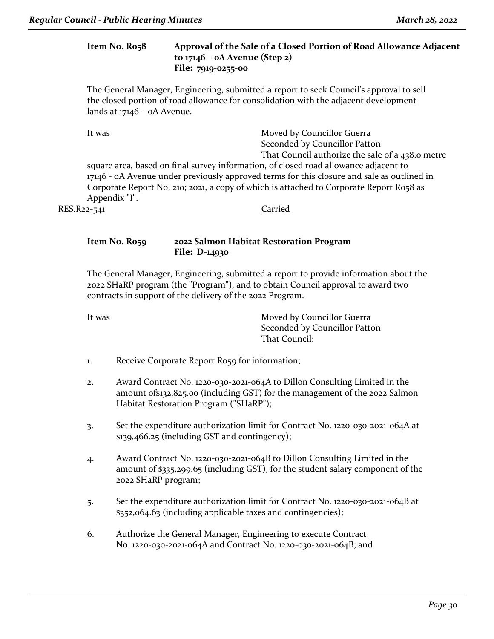#### **Item No. R058 Approval of the Sale of a Closed Portion of Road Allowance Adjacent to 17146 – 0A Avenue (Step 2) File: 7919-0255-00**

The General Manager, Engineering, submitted a report to seek Council's approval to sell the closed portion of road allowance for consolidation with the adjacent development lands at 17146 – 0A Avenue.

It was **Moved by Councillor Guerra** Seconded by Councillor Patton That Council authorize the sale of a 438.0 metre

square area*,* based on final survey information, of closed road allowance adjacent to 17146 - 0A Avenue under previously approved terms for this closure and sale as outlined in Corporate Report No. 210; 2021, a copy of which is attached to Corporate Report R058 as Appendix "I".

RES.R22-541 Carried

#### **Item No. R059 2022 Salmon Habitat Restoration Program File: D-14930**

The General Manager, Engineering, submitted a report to provide information about the 2022 SHaRP program (the "Program"), and to obtain Council approval to award two contracts in support of the delivery of the 2022 Program.

It was **Moved by Councillor Guerra** Seconded by Councillor Patton That Council:

1. Receive Corporate Report R059 for information;

- 2. Award Contract No. 1220-030-2021-064A to Dillon Consulting Limited in the amount of\$132,825.00 (including GST) for the management of the 2022 Salmon Habitat Restoration Program ("SHaRP");
- 3. Set the expenditure authorization limit for Contract No. 1220-030-2021-064A at \$139,466.25 (including GST and contingency);
- 4. Award Contract No. 1220-030-2021-064B to Dillon Consulting Limited in the amount of \$335,299.65 (including GST), for the student salary component of the 2022 SHaRP program;
- 5. Set the expenditure authorization limit for Contract No. 1220-030-2021-064B at \$352,064.63 (including applicable taxes and contingencies);
- 6. Authorize the General Manager, Engineering to execute Contract No. 1220-030-2021-064A and Contract No. 1220-030-2021-064B; and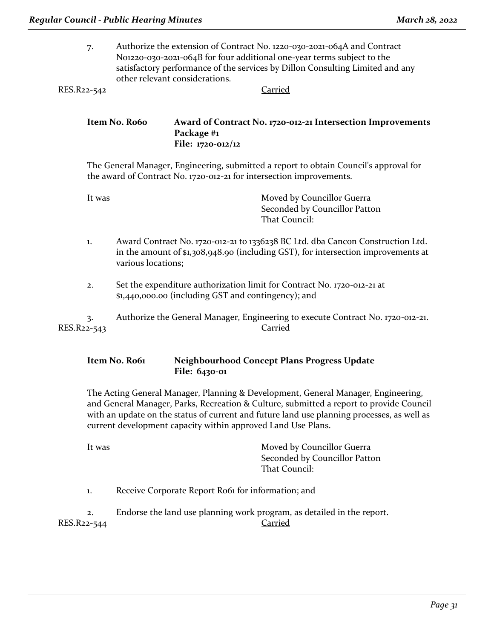7. Authorize the extension of Contract No. 1220-030-2021-064A and Contract No1220-030-2021-064B for four additional one-year terms subject to the satisfactory performance of the services by Dillon Consulting Limited and any other relevant considerations. RES.R22-542 Carried

**Item No. R060 Award of Contract No. 1720-012-21 Intersection Improvements Package #1**

**File: 1720-012/12**

The General Manager, Engineering, submitted a report to obtain Council's approval for the award of Contract No. 1720-012-21 for intersection improvements.

| It was | Moved by Councillor Guerra    |
|--------|-------------------------------|
|        | Seconded by Councillor Patton |
|        | That Council:                 |

- 1. Award Contract No. 1720-012-21 to 1336238 BC Ltd. dba Cancon Construction Ltd. in the amount of \$1,308,948.90 (including GST), for intersection improvements at various locations;
- 2. Set the expenditure authorization limit for Contract No. 1720-012-21 at \$1,440,000.00 (including GST and contingency); and

3. Authorize the General Manager, Engineering to execute Contract No. 1720-012-21. RES.R22-543 Carried

#### **Item No. R061 Neighbourhood Concept Plans Progress Update File: 6430-01**

The Acting General Manager, Planning & Development, General Manager, Engineering, and General Manager, Parks, Recreation & Culture, submitted a report to provide Council with an update on the status of current and future land use planning processes, as well as current development capacity within approved Land Use Plans.

It was **Moved by Councillor Guerra** Seconded by Councillor Patton That Council:

1. Receive Corporate Report R061 for information; and

2. Endorse the land use planning work program, as detailed in the report. RES.R22-544 Carried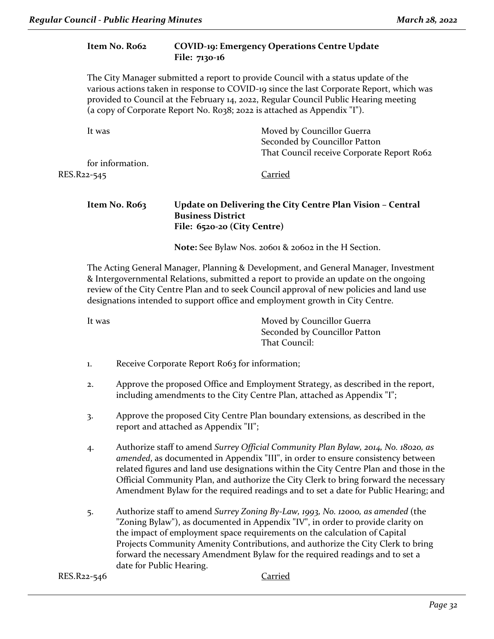# **Item No. R062 COVID-19: Emergency Operations Centre Update File: 7130-16** The City Manager submitted a report to provide Council with a status update of the various actions taken in response to COVID-19 since the last Corporate Report, which was provided to Council at the February 14, 2022, Regular Council Public Hearing meeting (a copy of Corporate Report No. R038; 2022 is attached as Appendix "I"). It was **Moved by Councillor Guerra** Seconded by Councillor Patton That Council receive Corporate Report Ro62 for information. RES.R22-545 Carried **Item No. R063 Update on Delivering the City Centre Plan Vision – Central Business District File: 6520-20 (City Centre) Note:** See Bylaw Nos. 20601 & 20602 in the H Section. The Acting General Manager, Planning & Development, and General Manager, Investment & Intergovernmental Relations, submitted a report to provide an update on the ongoing review of the City Centre Plan and to seek Council approval of new policies and land use designations intended to support office and employment growth in City Centre. It was **Moved by Councillor Guerra** Seconded by Councillor Patton That Council: 1. Receive Corporate Report Ro63 for information; 2. Approve the proposed Office and Employment Strategy, as described in the report, including amendments to the City Centre Plan, attached as Appendix "I"; 3. Approve the proposed City Centre Plan boundary extensions, as described in the report and attached as Appendix "II"; 4. Authorize staff to amend *Surrey Official Community Plan Bylaw, 2014, No. 18020, as amended*, as documented in Appendix "III", in order to ensure consistency between related figures and land use designations within the City Centre Plan and those in the Official Community Plan, and authorize the City Clerk to bring forward the necessary Amendment Bylaw for the required readings and to set a date for Public Hearing; and

5. Authorize staff to amend *Surrey Zoning By-Law, 1993, No. 12000, as amended* (the "Zoning Bylaw"), as documented in Appendix "IV", in order to provide clarity on the impact of employment space requirements on the calculation of Capital Projects Community Amenity Contributions, and authorize the City Clerk to bring forward the necessary Amendment Bylaw for the required readings and to set a date for Public Hearing.

RES.R22-546 Carried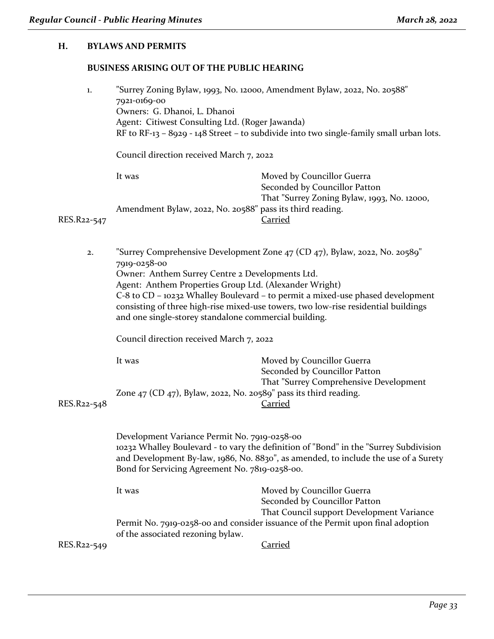#### **H. BYLAWS AND PERMITS**

#### **BUSINESS ARISING OUT OF THE PUBLIC HEARING**

| 1.          | "Surrey Zoning Bylaw, 1993, No. 12000, Amendment Bylaw, 2022, No. 20588"<br>7921-0169-00 |                                                                                         |
|-------------|------------------------------------------------------------------------------------------|-----------------------------------------------------------------------------------------|
|             | Owners: G. Dhanoi, L. Dhanoi                                                             |                                                                                         |
|             | Agent: Citiwest Consulting Ltd. (Roger Jawanda)                                          |                                                                                         |
|             |                                                                                          | RF to RF-13 – 8929 - 148 Street – to subdivide into two single-family small urban lots. |
|             | Council direction received March 7, 2022                                                 |                                                                                         |
|             | It was                                                                                   | Moved by Councillor Guerra                                                              |
|             |                                                                                          | Seconded by Councillor Patton                                                           |
|             |                                                                                          | That "Surrey Zoning Bylaw, 1993, No. 12000,                                             |
|             | Amendment Bylaw, 2022, No. 20588" pass its third reading.                                |                                                                                         |
| RES.R22-547 |                                                                                          | Carried                                                                                 |
|             |                                                                                          |                                                                                         |
|             |                                                                                          |                                                                                         |

2. "Surrey Comprehensive Development Zone 47 (CD 47), Bylaw, 2022, No. 20589" 7919-0258-00 Owner: Anthem Surrey Centre 2 Developments Ltd. Agent: Anthem Properties Group Ltd. (Alexander Wright) C-8 to CD – 10232 Whalley Boulevard – to permit a mixed-use phased development consisting of three high-rise mixed-use towers, two low-rise residential buildings and one single-storey standalone commercial building.

Council direction received March 7, 2022

| It was                                                                | Moved by Councillor Guerra             |
|-----------------------------------------------------------------------|----------------------------------------|
|                                                                       | Seconded by Councillor Patton          |
|                                                                       | That "Surrey Comprehensive Development |
| Zone $47$ (CD $47$ ), Bylaw, 2022, No. 20589" pass its third reading. |                                        |
|                                                                       | Carried                                |

RES.R<sub>22-54</sub>8

Development Variance Permit No. 7919-0258-00 10232 Whalley Boulevard - to vary the definition of "Bond" in the "Surrey Subdivision and Development By-law, 1986, No. 8830", as amended, to include the use of a Surety Bond for Servicing Agreement No. 7819-0258-00.

It was **Moved by Councillor Guerra** Seconded by Councillor Patton That Council support Development Variance Permit No. 7919-0258-00 and consider issuance of the Permit upon final adoption of the associated rezoning bylaw.

RES.R22-549 Carried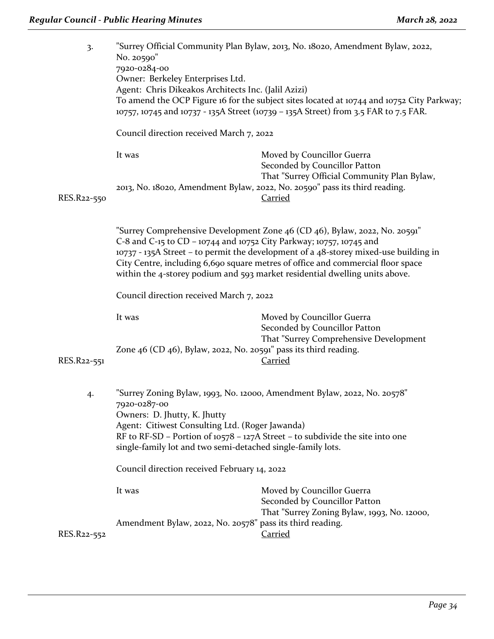| 3.          | No. 20590"<br>7920-0284-00<br>Owner: Berkeley Enterprises Ltd.<br>Agent: Chris Dikeakos Architects Inc. (Jalil Azizi)                                                                                                                                                                                                                                                                                       | "Surrey Official Community Plan Bylaw, 2013, No. 18020, Amendment Bylaw, 2022,<br>To amend the OCP Figure 16 for the subject sites located at 10744 and 10752 City Parkway;<br>10757, 10745 and 10737 - 135A Street (10739 - 135A Street) from 3.5 FAR to 7.5 FAR. |  |
|-------------|-------------------------------------------------------------------------------------------------------------------------------------------------------------------------------------------------------------------------------------------------------------------------------------------------------------------------------------------------------------------------------------------------------------|--------------------------------------------------------------------------------------------------------------------------------------------------------------------------------------------------------------------------------------------------------------------|--|
|             | Council direction received March 7, 2022                                                                                                                                                                                                                                                                                                                                                                    |                                                                                                                                                                                                                                                                    |  |
|             | It was                                                                                                                                                                                                                                                                                                                                                                                                      | Moved by Councillor Guerra<br>Seconded by Councillor Patton                                                                                                                                                                                                        |  |
| RES.R22-550 |                                                                                                                                                                                                                                                                                                                                                                                                             | That "Surrey Official Community Plan Bylaw,<br>2013, No. 18020, Amendment Bylaw, 2022, No. 20590" pass its third reading.<br>Carried                                                                                                                               |  |
|             | "Surrey Comprehensive Development Zone 46 (CD 46), Bylaw, 2022, No. 20591"<br>C-8 and C-15 to CD – 10744 and 10752 City Parkway; 10757, 10745 and<br>10737 - 135A Street - to permit the development of a 48-storey mixed-use building in<br>City Centre, including 6,690 square metres of office and commercial floor space<br>within the 4-storey podium and 593 market residential dwelling units above. |                                                                                                                                                                                                                                                                    |  |
|             | Council direction received March 7, 2022                                                                                                                                                                                                                                                                                                                                                                    |                                                                                                                                                                                                                                                                    |  |
| RES.R22-551 | It was<br>Zone 46 (CD 46), Bylaw, 2022, No. 20591" pass its third reading.                                                                                                                                                                                                                                                                                                                                  | Moved by Councillor Guerra<br>Seconded by Councillor Patton<br>That "Surrey Comprehensive Development<br><b>Carried</b>                                                                                                                                            |  |
| 4.          | 7920-0287-00<br>Owners: D. Jhutty, K. Jhutty<br>Agent: Citiwest Consulting Ltd. (Roger Jawanda)<br>single-family lot and two semi-detached single-family lots.                                                                                                                                                                                                                                              | "Surrey Zoning Bylaw, 1993, No. 12000, Amendment Bylaw, 2022, No. 20578"<br>RF to RF-SD – Portion of 10578 – 127A Street – to subdivide the site into one                                                                                                          |  |
|             | Council direction received February 14, 2022                                                                                                                                                                                                                                                                                                                                                                |                                                                                                                                                                                                                                                                    |  |
|             | It was                                                                                                                                                                                                                                                                                                                                                                                                      | Moved by Councillor Guerra<br>Seconded by Councillor Patton<br>That "Surrey Zoning Bylaw, 1993, No. 12000,                                                                                                                                                         |  |
| RES.R22-552 | Amendment Bylaw, 2022, No. 20578" pass its third reading.                                                                                                                                                                                                                                                                                                                                                   | <b>Carried</b>                                                                                                                                                                                                                                                     |  |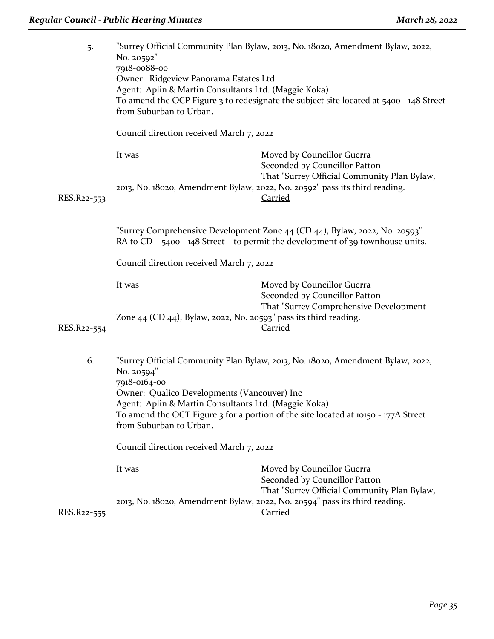| 5.          | "Surrey Official Community Plan Bylaw, 2013, No. 18020, Amendment Bylaw, 2022,<br>No. 20592"<br>7918-0088-00<br>Owner: Ridgeview Panorama Estates Ltd.<br>Agent: Aplin & Martin Consultants Ltd. (Maggie Koka)<br>To amend the OCP Figure 3 to redesignate the subject site located at 5400 - 148 Street<br>from Suburban to Urban. |                                                                                                            |
|-------------|-------------------------------------------------------------------------------------------------------------------------------------------------------------------------------------------------------------------------------------------------------------------------------------------------------------------------------------|------------------------------------------------------------------------------------------------------------|
|             | Council direction received March 7, 2022                                                                                                                                                                                                                                                                                            |                                                                                                            |
|             | It was                                                                                                                                                                                                                                                                                                                              | Moved by Councillor Guerra<br>Seconded by Councillor Patton<br>That "Surrey Official Community Plan Bylaw, |
| RES.R22-553 |                                                                                                                                                                                                                                                                                                                                     | 2013, No. 18020, Amendment Bylaw, 2022, No. 20592" pass its third reading.<br><b>Carried</b>               |
|             | "Surrey Comprehensive Development Zone 44 (CD 44), Bylaw, 2022, No. 20593"<br>RA to CD - $5400 - 148$ Street - to permit the development of 39 townhouse units.                                                                                                                                                                     |                                                                                                            |
|             | Council direction received March 7, 2022                                                                                                                                                                                                                                                                                            |                                                                                                            |
|             | It was                                                                                                                                                                                                                                                                                                                              | Moved by Councillor Guerra<br>Seconded by Councillor Patton<br>That "Surrey Comprehensive Development      |
| RES.R22-554 | Zone 44 (CD 44), Bylaw, 2022, No. 20593" pass its third reading.                                                                                                                                                                                                                                                                    | <b>Carried</b>                                                                                             |
| 6.          | No. 20594"<br>7918-0164-00<br>Owner: Qualico Developments (Vancouver) Inc<br>Agent: Aplin & Martin Consultants Ltd. (Maggie Koka)                                                                                                                                                                                                   | "Surrey Official Community Plan Bylaw, 2013, No. 18020, Amendment Bylaw, 2022,                             |
|             | To amend the OCT Figure 3 for a portion of the site located at 10150 - 177A Street<br>from Suburban to Urban.                                                                                                                                                                                                                       |                                                                                                            |
|             | Council direction received March 7, 2022                                                                                                                                                                                                                                                                                            |                                                                                                            |
|             | It was                                                                                                                                                                                                                                                                                                                              | Moved by Councillor Guerra<br>Seconded by Councillor Patton<br>That "Surrey Official Community Plan Bylaw, |
| RES.R22-555 |                                                                                                                                                                                                                                                                                                                                     | 2013, No. 18020, Amendment Bylaw, 2022, No. 20594" pass its third reading.<br><b>Carried</b>               |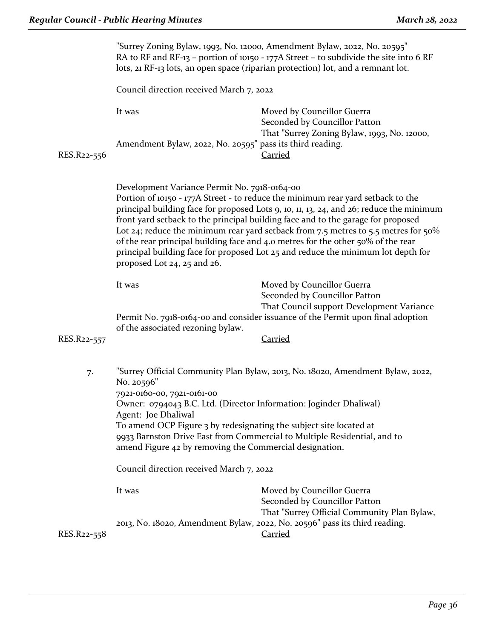|             | "Surrey Zoning Bylaw, 1993, No. 12000, Amendment Bylaw, 2022, No. 20595"<br>RA to RF and RF-13 - portion of 10150 - 177A Street - to subdivide the site into 6 RF<br>lots, 21 RF-13 lots, an open space (riparian protection) lot, and a remnant lot.                                                                                                                                                                                                                                                                                                                                                       |                                                                                                            |
|-------------|-------------------------------------------------------------------------------------------------------------------------------------------------------------------------------------------------------------------------------------------------------------------------------------------------------------------------------------------------------------------------------------------------------------------------------------------------------------------------------------------------------------------------------------------------------------------------------------------------------------|------------------------------------------------------------------------------------------------------------|
|             | Council direction received March 7, 2022                                                                                                                                                                                                                                                                                                                                                                                                                                                                                                                                                                    |                                                                                                            |
|             | It was                                                                                                                                                                                                                                                                                                                                                                                                                                                                                                                                                                                                      | Moved by Councillor Guerra<br>Seconded by Councillor Patton<br>That "Surrey Zoning Bylaw, 1993, No. 12000, |
| RES.R22-556 | Amendment Bylaw, 2022, No. 20595" pass its third reading.                                                                                                                                                                                                                                                                                                                                                                                                                                                                                                                                                   | <b>Carried</b>                                                                                             |
|             | Development Variance Permit No. 7918-0164-00<br>Portion of 10150 - 177A Street - to reduce the minimum rear yard setback to the<br>principal building face for proposed Lots 9, 10, 11, 13, 24, and 26; reduce the minimum<br>front yard setback to the principal building face and to the garage for proposed<br>Lot 24; reduce the minimum rear yard setback from 7.5 metres to 5.5 metres for 50%<br>of the rear principal building face and 4.0 metres for the other 50% of the rear<br>principal building face for proposed Lot 25 and reduce the minimum lot depth for<br>proposed Lot 24, 25 and 26. |                                                                                                            |
|             | It was                                                                                                                                                                                                                                                                                                                                                                                                                                                                                                                                                                                                      | Moved by Councillor Guerra<br>Seconded by Councillor Patton<br>That Council support Development Variance   |
| RES.R22-557 | of the associated rezoning bylaw.                                                                                                                                                                                                                                                                                                                                                                                                                                                                                                                                                                           | Permit No. 7918-0164-00 and consider issuance of the Permit upon final adoption<br><b>Carried</b>          |
| 7.          | No. 20596"<br>7921-0160-00, 7921-0161-00<br>Owner: 0794043 B.C. Ltd. (Director Information: Joginder Dhaliwal)                                                                                                                                                                                                                                                                                                                                                                                                                                                                                              | "Surrey Official Community Plan Bylaw, 2013, No. 18020, Amendment Bylaw, 2022,                             |
|             | Agent: Joe Dhaliwal<br>To amend OCP Figure 3 by redesignating the subject site located at<br>amend Figure 42 by removing the Commercial designation.                                                                                                                                                                                                                                                                                                                                                                                                                                                        | 9933 Barnston Drive East from Commercial to Multiple Residential, and to                                   |
|             | Council direction received March 7, 2022                                                                                                                                                                                                                                                                                                                                                                                                                                                                                                                                                                    |                                                                                                            |
|             | It was                                                                                                                                                                                                                                                                                                                                                                                                                                                                                                                                                                                                      | Moved by Councillor Guerra<br>Seconded by Councillor Patton<br>That "Surrey Official Community Plan Bylaw, |
| RES.R22-558 |                                                                                                                                                                                                                                                                                                                                                                                                                                                                                                                                                                                                             | 2013, No. 18020, Amendment Bylaw, 2022, No. 20596" pass its third reading.<br><b>Carried</b>               |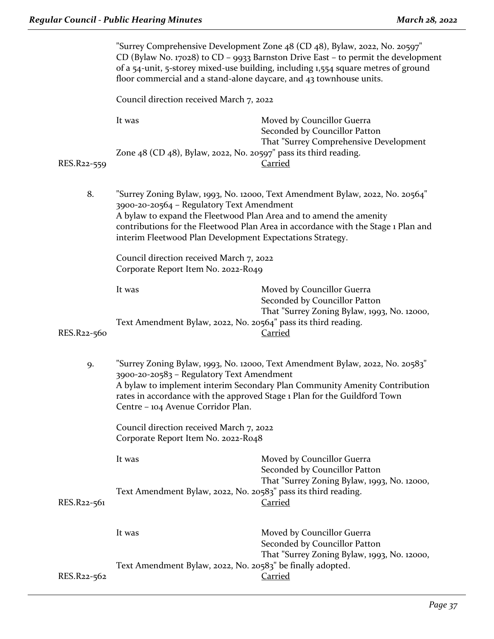|                                                                                                                                                                                                                                                                                                                                   | "Surrey Comprehensive Development Zone 48 (CD 48), Bylaw, 2022, No. 20597"<br>CD (Bylaw No. 17028) to CD - 9933 Barnston Drive East - to permit the development<br>of a 54-unit, 5-storey mixed-use building, including 1,554 square metres of ground<br>floor commercial and a stand-alone daycare, and 43 townhouse units.                                                                                                          |                                                                                                            |
|-----------------------------------------------------------------------------------------------------------------------------------------------------------------------------------------------------------------------------------------------------------------------------------------------------------------------------------|---------------------------------------------------------------------------------------------------------------------------------------------------------------------------------------------------------------------------------------------------------------------------------------------------------------------------------------------------------------------------------------------------------------------------------------|------------------------------------------------------------------------------------------------------------|
|                                                                                                                                                                                                                                                                                                                                   | Council direction received March 7, 2022                                                                                                                                                                                                                                                                                                                                                                                              |                                                                                                            |
|                                                                                                                                                                                                                                                                                                                                   | It was                                                                                                                                                                                                                                                                                                                                                                                                                                | Moved by Councillor Guerra<br>Seconded by Councillor Patton<br>That "Surrey Comprehensive Development      |
| RES.R22-559                                                                                                                                                                                                                                                                                                                       | Zone $48$ (CD $48$ ), Bylaw, 2022, No. 20597" pass its third reading.                                                                                                                                                                                                                                                                                                                                                                 | <b>Carried</b>                                                                                             |
| 8.                                                                                                                                                                                                                                                                                                                                | "Surrey Zoning Bylaw, 1993, No. 12000, Text Amendment Bylaw, 2022, No. 20564"<br>3900-20-20564 - Regulatory Text Amendment<br>A bylaw to expand the Fleetwood Plan Area and to amend the amenity<br>contributions for the Fleetwood Plan Area in accordance with the Stage 1 Plan and<br>interim Fleetwood Plan Development Expectations Strategy.<br>Council direction received March 7, 2022<br>Corporate Report Item No. 2022-R049 |                                                                                                            |
|                                                                                                                                                                                                                                                                                                                                   |                                                                                                                                                                                                                                                                                                                                                                                                                                       |                                                                                                            |
|                                                                                                                                                                                                                                                                                                                                   | It was                                                                                                                                                                                                                                                                                                                                                                                                                                | Moved by Councillor Guerra<br>Seconded by Councillor Patton<br>That "Surrey Zoning Bylaw, 1993, No. 12000, |
| RES.R22-560                                                                                                                                                                                                                                                                                                                       | Text Amendment Bylaw, 2022, No. 20564" pass its third reading.                                                                                                                                                                                                                                                                                                                                                                        | <b>Carried</b>                                                                                             |
| "Surrey Zoning Bylaw, 1993, No. 12000, Text Amendment Bylaw, 2022, No. 20583"<br>9.<br>3900-20-20583 - Regulatory Text Amendment<br>A bylaw to implement interim Secondary Plan Community Amenity Contribution<br>rates in accordance with the approved Stage 1 Plan for the Guildford Town<br>Centre – 104 Avenue Corridor Plan. |                                                                                                                                                                                                                                                                                                                                                                                                                                       |                                                                                                            |
|                                                                                                                                                                                                                                                                                                                                   | Council direction received March 7, 2022<br>Corporate Report Item No. 2022-R048                                                                                                                                                                                                                                                                                                                                                       |                                                                                                            |
|                                                                                                                                                                                                                                                                                                                                   | It was                                                                                                                                                                                                                                                                                                                                                                                                                                | Moved by Councillor Guerra<br>Seconded by Councillor Patton                                                |
| RES.R22-561                                                                                                                                                                                                                                                                                                                       | Text Amendment Bylaw, 2022, No. 20583" pass its third reading.                                                                                                                                                                                                                                                                                                                                                                        | That "Surrey Zoning Bylaw, 1993, No. 12000,<br><b>Carried</b>                                              |
|                                                                                                                                                                                                                                                                                                                                   | It was                                                                                                                                                                                                                                                                                                                                                                                                                                | Moved by Councillor Guerra<br>Seconded by Councillor Patton<br>That "Surrey Zoning Bylaw, 1993, No. 12000, |
| RES.R22-562                                                                                                                                                                                                                                                                                                                       | Text Amendment Bylaw, 2022, No. 20583" be finally adopted.                                                                                                                                                                                                                                                                                                                                                                            | <b>Carried</b>                                                                                             |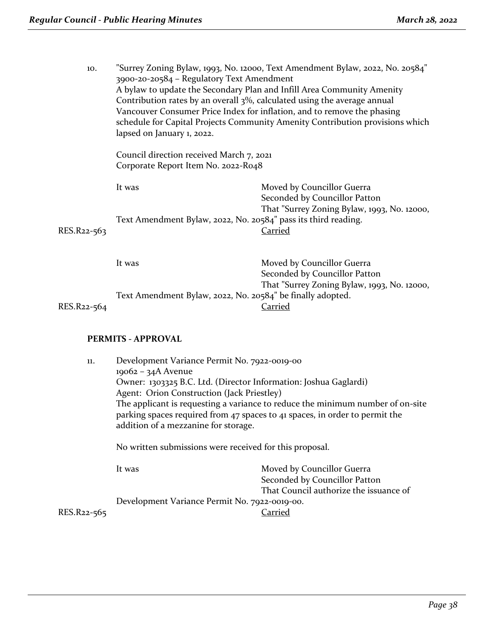| 10.         | 3900-20-20584 - Regulatory Text Amendment<br>Contribution rates by an overall $3\%$ , calculated using the average annual<br>lapsed on January 1, 2022. | "Surrey Zoning Bylaw, 1993, No. 12000, Text Amendment Bylaw, 2022, No. 20584"<br>A bylaw to update the Secondary Plan and Infill Area Community Amenity<br>Vancouver Consumer Price Index for inflation, and to remove the phasing<br>schedule for Capital Projects Community Amenity Contribution provisions which |
|-------------|---------------------------------------------------------------------------------------------------------------------------------------------------------|---------------------------------------------------------------------------------------------------------------------------------------------------------------------------------------------------------------------------------------------------------------------------------------------------------------------|
|             | Council direction received March 7, 2021<br>Corporate Report Item No. 2022-R048                                                                         |                                                                                                                                                                                                                                                                                                                     |
|             | It was                                                                                                                                                  | Moved by Councillor Guerra<br>Seconded by Councillor Patton<br>That "Surrey Zoning Bylaw, 1993, No. 12000,                                                                                                                                                                                                          |
| RES.R22-563 | Text Amendment Bylaw, 2022, No. 20584" pass its third reading.                                                                                          | <u>Carried</u>                                                                                                                                                                                                                                                                                                      |
|             | It was                                                                                                                                                  | Moved by Councillor Guerra<br>Seconded by Councillor Patton                                                                                                                                                                                                                                                         |
| RES.R22-564 | Text Amendment Bylaw, 2022, No. 20584" be finally adopted.                                                                                              | That "Surrey Zoning Bylaw, 1993, No. 12000,<br>Carried                                                                                                                                                                                                                                                              |

RES.R22-564

#### **PERMITS - APPROVAL**

| 11. | Development Variance Permit No. 7922-0019-00            |                                                                                                                                                               |  |  |
|-----|---------------------------------------------------------|---------------------------------------------------------------------------------------------------------------------------------------------------------------|--|--|
|     | $19062 - 34A$ Avenue                                    |                                                                                                                                                               |  |  |
|     |                                                         | Owner: 1303325 B.C. Ltd. (Director Information: Joshua Gaglardi)                                                                                              |  |  |
|     |                                                         | Agent: Orion Construction (Jack Priestley)                                                                                                                    |  |  |
|     | addition of a mezzanine for storage.                    | The applicant is requesting a variance to reduce the minimum number of on-site<br>parking spaces required from 47 spaces to 41 spaces, in order to permit the |  |  |
|     | No written submissions were received for this proposal. |                                                                                                                                                               |  |  |
|     | It was                                                  | Moved by Councillor Guerra                                                                                                                                    |  |  |
|     |                                                         | Seconded by Councillor Patton                                                                                                                                 |  |  |
|     |                                                         | That Council authorize the issuance of                                                                                                                        |  |  |

Development Variance Permit No. 7922-0019-00.

RES.R<sub>22-565</sub>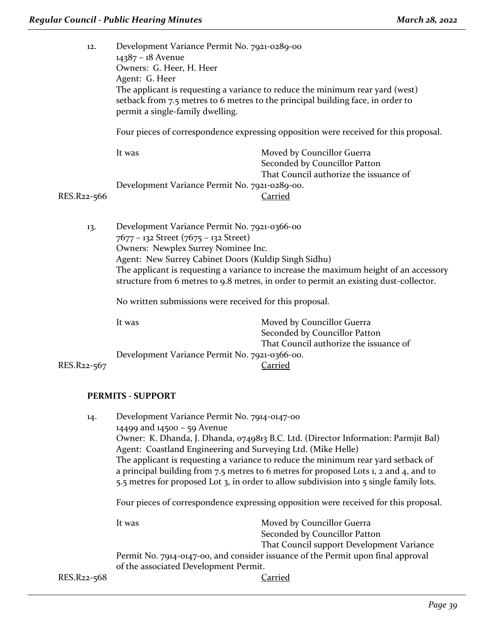| 12.         | Development Variance Permit No. 7921-0289-00<br>14387 - 18 Avenue<br>Owners: G. Heer, H. Heer<br>Agent: G. Heer<br>permit a single-family dwelling.                                                                                                                                                                                                                    | The applicant is requesting a variance to reduce the minimum rear yard (west)<br>setback from 7.5 metres to 6 metres to the principal building face, in order to<br>Four pieces of correspondence expressing opposition were received for this proposal. |
|-------------|------------------------------------------------------------------------------------------------------------------------------------------------------------------------------------------------------------------------------------------------------------------------------------------------------------------------------------------------------------------------|----------------------------------------------------------------------------------------------------------------------------------------------------------------------------------------------------------------------------------------------------------|
|             | It was                                                                                                                                                                                                                                                                                                                                                                 | Moved by Councillor Guerra<br>Seconded by Councillor Patton<br>That Council authorize the issuance of                                                                                                                                                    |
| RES.R22-566 | Development Variance Permit No. 7921-0289-00.                                                                                                                                                                                                                                                                                                                          | <u>Carried</u>                                                                                                                                                                                                                                           |
| 13.         | Development Variance Permit No. 7921-0366-00<br>7677 - 132 Street (7675 - 132 Street)<br>Owners: Newplex Surrey Nominee Inc.<br>Agent: New Surrey Cabinet Doors (Kuldip Singh Sidhu)<br>The applicant is requesting a variance to increase the maximum height of an accessory<br>structure from 6 metres to 9.8 metres, in order to permit an existing dust-collector. |                                                                                                                                                                                                                                                          |
|             | No written submissions were received for this proposal.                                                                                                                                                                                                                                                                                                                |                                                                                                                                                                                                                                                          |
|             | It was                                                                                                                                                                                                                                                                                                                                                                 | Moved by Councillor Guerra<br>Seconded by Councillor Patton<br>That Council authorize the issuance of                                                                                                                                                    |
|             | Development Variance Permit No. 7921-0366-00.                                                                                                                                                                                                                                                                                                                          |                                                                                                                                                                                                                                                          |
| RES.R22-567 |                                                                                                                                                                                                                                                                                                                                                                        | <u>Carried</u>                                                                                                                                                                                                                                           |

#### **PERMITS - SUPPORT**

| 14.         | Development Variance Permit No. 7914-0147-00                                                                                                                                                                                                                                                                                                                                                                                |                                           |
|-------------|-----------------------------------------------------------------------------------------------------------------------------------------------------------------------------------------------------------------------------------------------------------------------------------------------------------------------------------------------------------------------------------------------------------------------------|-------------------------------------------|
|             | 14499 and 14500 - 59 Avenue                                                                                                                                                                                                                                                                                                                                                                                                 |                                           |
|             | Owner: K. Dhanda, J. Dhanda, 0749813 B.C. Ltd. (Director Information: Parmjit Bal)<br>Agent: Coastland Engineering and Surveying Ltd. (Mike Helle)<br>The applicant is requesting a variance to reduce the minimum rear yard setback of<br>a principal building from 7.5 metres to 6 metres for proposed Lots 1, 2 and 4, and to<br>5.5 metres for proposed Lot 3, in order to allow subdivision into 5 single family lots. |                                           |
|             |                                                                                                                                                                                                                                                                                                                                                                                                                             |                                           |
|             | Four pieces of correspondence expressing opposition were received for this proposal.                                                                                                                                                                                                                                                                                                                                        |                                           |
|             | It was                                                                                                                                                                                                                                                                                                                                                                                                                      | Moved by Councillor Guerra                |
|             |                                                                                                                                                                                                                                                                                                                                                                                                                             | Seconded by Councillor Patton             |
|             |                                                                                                                                                                                                                                                                                                                                                                                                                             | That Council support Development Variance |
|             | Permit No. 7914-0147-00, and consider issuance of the Permit upon final approval                                                                                                                                                                                                                                                                                                                                            |                                           |
|             | of the associated Development Permit.                                                                                                                                                                                                                                                                                                                                                                                       |                                           |
| RES.R22-568 |                                                                                                                                                                                                                                                                                                                                                                                                                             | Carried                                   |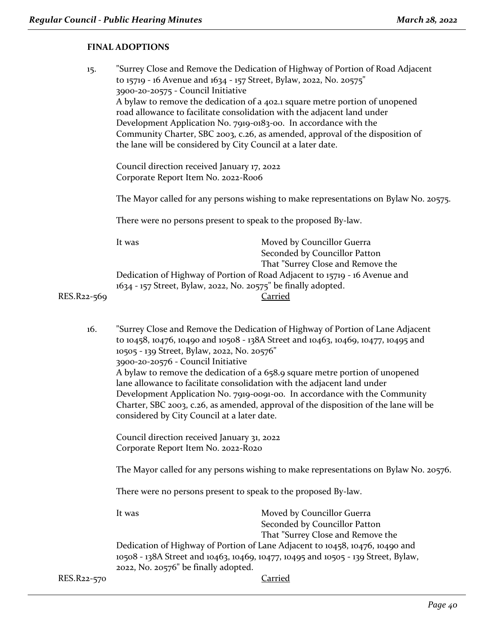#### **FINAL ADOPTIONS**

| 15.         | "Surrey Close and Remove the Dedication of Highway of Portion of Road Adjacent<br>to 15719 - 16 Avenue and 1634 - 157 Street, Bylaw, 2022, No. 20575"<br>3900-20-20575 - Council Initiative<br>A bylaw to remove the dedication of a 402.1 square metre portion of unopened<br>road allowance to facilitate consolidation with the adjacent land under<br>Development Application No. 7919-0183-00. In accordance with the<br>Community Charter, SBC 2003, c.26, as amended, approval of the disposition of<br>the lane will be considered by City Council at a later date.<br>Council direction received January 17, 2022<br>Corporate Report Item No. 2022-Roo6<br>The Mayor called for any persons wishing to make representations on Bylaw No. 20575.<br>There were no persons present to speak to the proposed By-law. |                                                                                                                                                                     |
|-------------|-----------------------------------------------------------------------------------------------------------------------------------------------------------------------------------------------------------------------------------------------------------------------------------------------------------------------------------------------------------------------------------------------------------------------------------------------------------------------------------------------------------------------------------------------------------------------------------------------------------------------------------------------------------------------------------------------------------------------------------------------------------------------------------------------------------------------------|---------------------------------------------------------------------------------------------------------------------------------------------------------------------|
|             |                                                                                                                                                                                                                                                                                                                                                                                                                                                                                                                                                                                                                                                                                                                                                                                                                             |                                                                                                                                                                     |
|             |                                                                                                                                                                                                                                                                                                                                                                                                                                                                                                                                                                                                                                                                                                                                                                                                                             |                                                                                                                                                                     |
|             |                                                                                                                                                                                                                                                                                                                                                                                                                                                                                                                                                                                                                                                                                                                                                                                                                             |                                                                                                                                                                     |
|             | It was                                                                                                                                                                                                                                                                                                                                                                                                                                                                                                                                                                                                                                                                                                                                                                                                                      | Moved by Councillor Guerra<br>Seconded by Councillor Patton<br>That "Surrey Close and Remove the                                                                    |
| RES.R22-569 |                                                                                                                                                                                                                                                                                                                                                                                                                                                                                                                                                                                                                                                                                                                                                                                                                             | Dedication of Highway of Portion of Road Adjacent to 15719 - 16 Avenue and<br>1634 - 157 Street, Bylaw, 2022, No. 20575" be finally adopted.<br>Carried             |
| 16.         | 10505 - 139 Street, Bylaw, 2022, No. 20576"                                                                                                                                                                                                                                                                                                                                                                                                                                                                                                                                                                                                                                                                                                                                                                                 | "Surrey Close and Remove the Dedication of Highway of Portion of Lane Adjacent<br>to 10458, 10476, 10490 and 10508 - 138A Street and 10463, 10469, 10477, 10495 and |

3900-20-20576 - Council Initiative

A bylaw to remove the dedication of a 658.9 square metre portion of unopened lane allowance to facilitate consolidation with the adjacent land under Development Application No. 7919-0091-00. In accordance with the Community Charter, SBC 2003, c.26, as amended, approval of the disposition of the lane will be considered by City Council at a later date.

Council direction received January 31, 2022 Corporate Report Item No. 2022-R020

The Mayor called for any persons wishing to make representations on Bylaw No. 20576.

There were no persons present to speak to the proposed By-law.

It was Moved by Councillor Guerra Seconded by Councillor Patton That "Surrey Close and Remove the Dedication of Highway of Portion of Lane Adjacent to 10458, 10476, 10490 and 10508 - 138A Street and 10463, 10469, 10477, 10495 and 10505 - 139 Street, Bylaw, 2022, No. 20576" be finally adopted.

RES.R22-570 Carried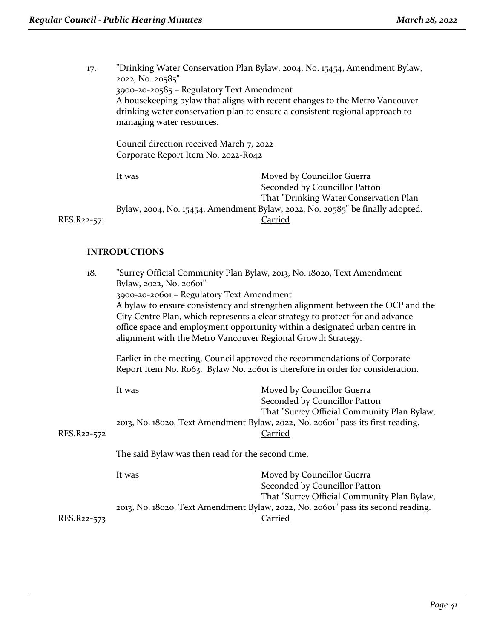17. "Drinking Water Conservation Plan Bylaw, 2004, No. 15454, Amendment Bylaw, 2022, No. 20585" 3900-20-20585 – Regulatory Text Amendment A housekeeping bylaw that aligns with recent changes to the Metro Vancouver drinking water conservation plan to ensure a consistent regional approach to managing water resources.

Council direction received March 7, 2022 Corporate Report Item No. 2022-R042

It was Moved by Councillor Guerra Seconded by Councillor Patton That "Drinking Water Conservation Plan Bylaw, 2004, No. 15454, Amendment Bylaw, 2022, No. 20585" be finally adopted. RES.R22-571 Carried

#### **INTRODUCTIONS**

| 18.         | Bylaw, 2022, No. 20601"                                                                                                                                     | "Surrey Official Community Plan Bylaw, 2013, No. 18020, Text Amendment<br>3900-20-20601 - Regulatory Text Amendment<br>A bylaw to ensure consistency and strengthen alignment between the OCP and the<br>City Centre Plan, which represents a clear strategy to protect for and advance<br>office space and employment opportunity within a designated urban centre in<br>alignment with the Metro Vancouver Regional Growth Strategy. |  |
|-------------|-------------------------------------------------------------------------------------------------------------------------------------------------------------|----------------------------------------------------------------------------------------------------------------------------------------------------------------------------------------------------------------------------------------------------------------------------------------------------------------------------------------------------------------------------------------------------------------------------------------|--|
|             | Earlier in the meeting, Council approved the recommendations of Corporate<br>Report Item No. Ro63. Bylaw No. 20601 is therefore in order for consideration. |                                                                                                                                                                                                                                                                                                                                                                                                                                        |  |
| RES.R22-572 | It was                                                                                                                                                      | Moved by Councillor Guerra<br>Seconded by Councillor Patton<br>That "Surrey Official Community Plan Bylaw,<br>2013, No. 18020, Text Amendment Bylaw, 2022, No. 20601" pass its first reading.<br><u>Carried</u>                                                                                                                                                                                                                        |  |
|             | The said Bylaw was then read for the second time.                                                                                                           |                                                                                                                                                                                                                                                                                                                                                                                                                                        |  |
|             | It was                                                                                                                                                      | Moved by Councillor Guerra<br>Seconded by Councillor Patton<br>That "Surrey Official Community Plan Bylaw,                                                                                                                                                                                                                                                                                                                             |  |
| RES.R22-573 |                                                                                                                                                             | 2013, No. 18020, Text Amendment Bylaw, 2022, No. 20601" pass its second reading.<br><b>Carried</b>                                                                                                                                                                                                                                                                                                                                     |  |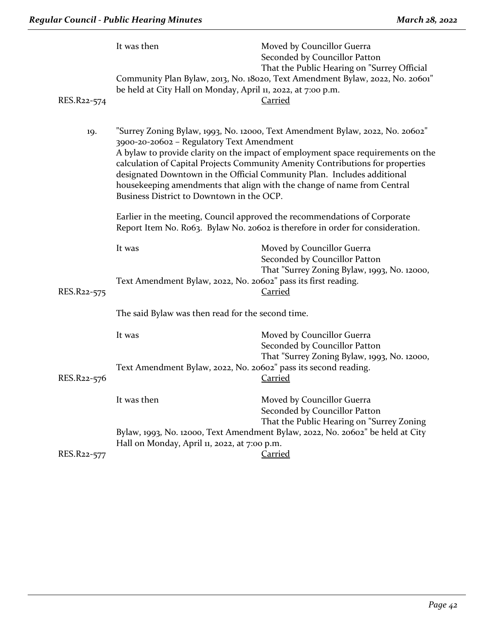| RES.R22-574 | It was then<br>be held at City Hall on Monday, April 11, 2022, at 7:00 p.m.                                                                                                                                                                                                                                                                                                                                                                                                                                                                                                                                                                                        | Moved by Councillor Guerra<br>Seconded by Councillor Patton<br>That the Public Hearing on "Surrey Official<br>Community Plan Bylaw, 2013, No. 18020, Text Amendment Bylaw, 2022, No. 20601"<br>Carried |
|-------------|--------------------------------------------------------------------------------------------------------------------------------------------------------------------------------------------------------------------------------------------------------------------------------------------------------------------------------------------------------------------------------------------------------------------------------------------------------------------------------------------------------------------------------------------------------------------------------------------------------------------------------------------------------------------|--------------------------------------------------------------------------------------------------------------------------------------------------------------------------------------------------------|
| 19.         | "Surrey Zoning Bylaw, 1993, No. 12000, Text Amendment Bylaw, 2022, No. 20602"<br>3900-20-20602 - Regulatory Text Amendment<br>A bylaw to provide clarity on the impact of employment space requirements on the<br>calculation of Capital Projects Community Amenity Contributions for properties<br>designated Downtown in the Official Community Plan. Includes additional<br>housekeeping amendments that align with the change of name from Central<br>Business District to Downtown in the OCP.<br>Earlier in the meeting, Council approved the recommendations of Corporate<br>Report Item No. Ro63. Bylaw No. 20602 is therefore in order for consideration. |                                                                                                                                                                                                        |
|             |                                                                                                                                                                                                                                                                                                                                                                                                                                                                                                                                                                                                                                                                    |                                                                                                                                                                                                        |
| RES.R22-575 | It was<br>Text Amendment Bylaw, 2022, No. 20602" pass its first reading.                                                                                                                                                                                                                                                                                                                                                                                                                                                                                                                                                                                           | Moved by Councillor Guerra<br>Seconded by Councillor Patton<br>That "Surrey Zoning Bylaw, 1993, No. 12000,<br>Carried                                                                                  |
|             | The said Bylaw was then read for the second time.                                                                                                                                                                                                                                                                                                                                                                                                                                                                                                                                                                                                                  |                                                                                                                                                                                                        |
|             | It was                                                                                                                                                                                                                                                                                                                                                                                                                                                                                                                                                                                                                                                             | Moved by Councillor Guerra<br>Seconded by Councillor Patton<br>That "Surrey Zoning Bylaw, 1993, No. 12000,                                                                                             |
| RES.R22-576 | Text Amendment Bylaw, 2022, No. 20602" pass its second reading.                                                                                                                                                                                                                                                                                                                                                                                                                                                                                                                                                                                                    | Carried                                                                                                                                                                                                |
|             | It was then                                                                                                                                                                                                                                                                                                                                                                                                                                                                                                                                                                                                                                                        | Moved by Councillor Guerra<br>Seconded by Councillor Patton<br>That the Public Hearing on "Surrey Zoning                                                                                               |
| RES.R22-577 | Hall on Monday, April 11, 2022, at 7:00 p.m.                                                                                                                                                                                                                                                                                                                                                                                                                                                                                                                                                                                                                       | Bylaw, 1993, No. 12000, Text Amendment Bylaw, 2022, No. 20602" be held at City<br><u>Carried</u>                                                                                                       |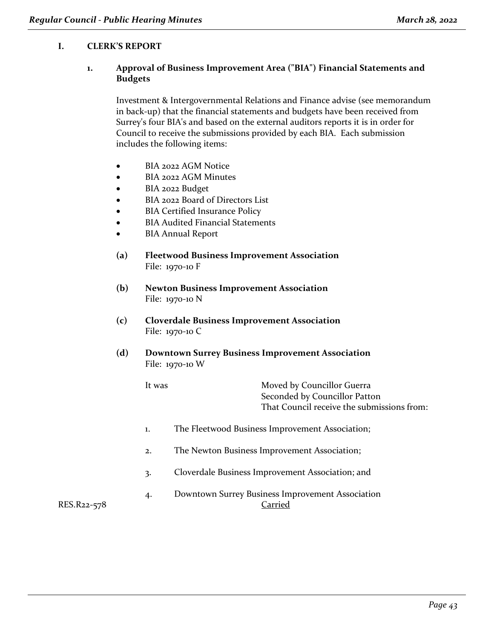#### **I. CLERK'S REPORT**

#### **1. Approval of Business Improvement Area ("BIA") Financial Statements and Budgets**

Investment & Intergovernmental Relations and Finance advise (see memorandum in back-up) that the financial statements and budgets have been received from Surrey's four BIA's and based on the external auditors reports it is in order for Council to receive the submissions provided by each BIA. Each submission includes the following items:

- BIA 2022 AGM Notice
- BIA 2022 AGM Minutes
- BIA 2022 Budget
- BIA 2022 Board of Directors List
- BIA Certified Insurance Policy
- BIA Audited Financial Statements
- BIA Annual Report
- **(a) Fleetwood Business Improvement Association** File: 1970-10 F
- **(b) Newton Business Improvement Association** File: 1970-10 N
- **(c) Cloverdale Business Improvement Association** File: 1970-10 C
- **(d) Downtown Surrey Business Improvement Association** File: 1970-10 W

| lt was | Moved by Councillor Guerra                 |
|--------|--------------------------------------------|
|        | Seconded by Councillor Patton              |
|        | That Council receive the submissions from: |

- 1. The Fleetwood Business Improvement Association;
- 2. The Newton Business Improvement Association;
- 3. Cloverdale Business Improvement Association; and
- 4. Downtown Surrey Business Improvement Association RES.R22-578 Carried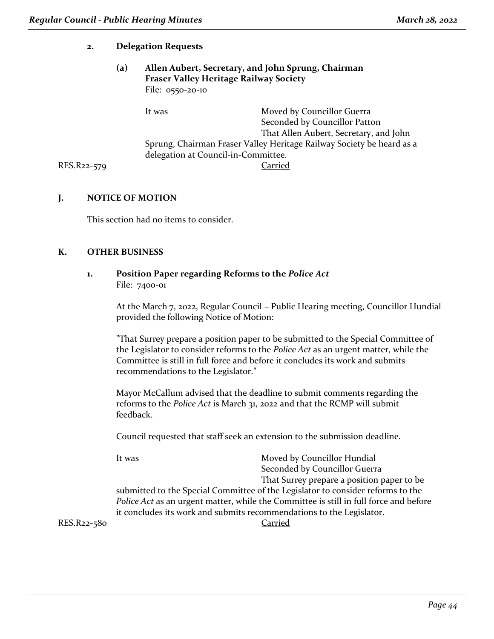#### **2. Delegation Requests**

#### **(a) Allen Aubert, Secretary, and John Sprung, Chairman Fraser Valley Heritage Railway Society** File: 0550-20-10

It was Moved by Councillor Guerra Seconded by Councillor Patton That Allen Aubert, Secretary, and John Sprung, Chairman Fraser Valley Heritage Railway Society be heard as a delegation at Council-in-Committee. RES.R22-579 Carried

#### **J. NOTICE OF MOTION**

This section had no items to consider.

#### **K. OTHER BUSINESS**

#### **1. Position Paper regarding Reforms to the** *Police Act* File: 7400-01

At the March 7, 2022, Regular Council – Public Hearing meeting, Councillor Hundial provided the following Notice of Motion:

"That Surrey prepare a position paper to be submitted to the Special Committee of the Legislator to consider reforms to the *Police Act* as an urgent matter, while the Committee is still in full force and before it concludes its work and submits recommendations to the Legislator."

Mayor McCallum advised that the deadline to submit comments regarding the reforms to the *Police Act* is March 31, 2022 and that the RCMP will submit feedback.

Council requested that staff seek an extension to the submission deadline.

| It was | Moved by Councillor Hundial                                                           |
|--------|---------------------------------------------------------------------------------------|
|        | Seconded by Councillor Guerra                                                         |
|        | That Surrey prepare a position paper to be.                                           |
|        | submitted to the Special Committee of the Legislator to consider reforms to the       |
|        | Police Act as an urgent matter, while the Committee is still in full force and before |
|        | it concludes its work and submits recommendations to the Legislator.                  |
|        |                                                                                       |

RES.R22-580 Carried